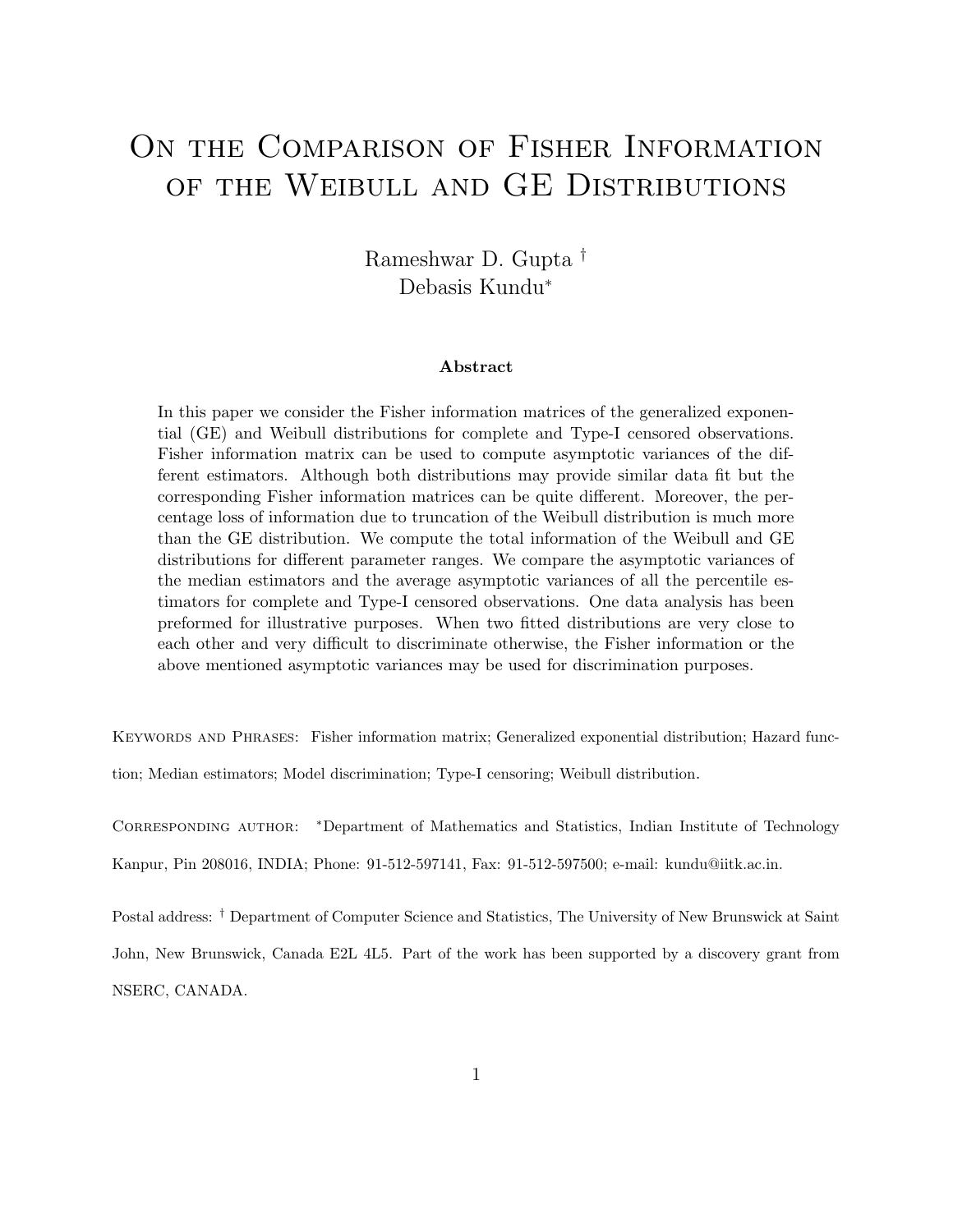# ON THE COMPARISON OF FISHER INFORMATION OF THE WEIBULL AND GE DISTRIBUTIONS

Rameshwar D. Gupta † Debasis Kundu<sup>∗</sup>

#### Abstract

In this paper we consider the Fisher information matrices of the generalized exponential (GE) and Weibull distributions for complete and Type-I censored observations. Fisher information matrix can be used to compute asymptotic variances of the different estimators. Although both distributions may provide similar data fit but the corresponding Fisher information matrices can be quite different. Moreover, the percentage loss of information due to truncation of the Weibull distribution is much more than the GE distribution. We compute the total information of the Weibull and GE distributions for different parameter ranges. We compare the asymptotic variances of the median estimators and the average asymptotic variances of all the percentile estimators for complete and Type-I censored observations. One data analysis has been preformed for illustrative purposes. When two fitted distributions are very close to each other and very difficult to discriminate otherwise, the Fisher information or the above mentioned asymptotic variances may be used for discrimination purposes.

KEYWORDS AND PHRASES: Fisher information matrix; Generalized exponential distribution; Hazard function; Median estimators; Model discrimination; Type-I censoring; Weibull distribution.

CORRESPONDING AUTHOR: \*Department of Mathematics and Statistics, Indian Institute of Technology

Kanpur, Pin 208016, INDIA; Phone: 91-512-597141, Fax: 91-512-597500; e-mail: kundu@iitk.ac.in.

Postal address: † Department of Computer Science and Statistics, The University of New Brunswick at Saint John, New Brunswick, Canada E2L 4L5. Part of the work has been supported by a discovery grant from NSERC, CANADA.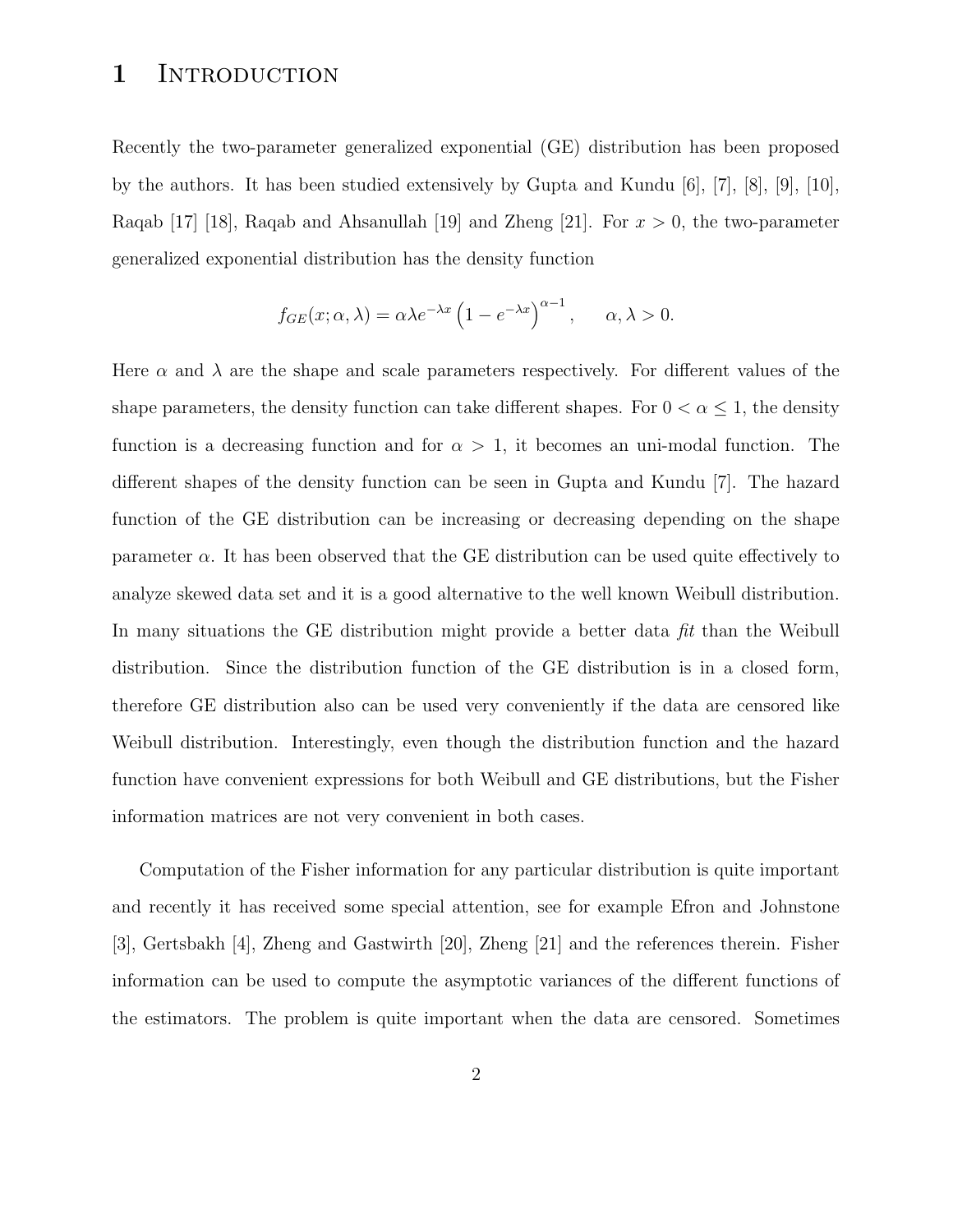### 1 INTRODUCTION

Recently the two-parameter generalized exponential (GE) distribution has been proposed by the authors. It has been studied extensively by Gupta and Kundu [6], [7], [8], [9], [10], Raqab [17] [18], Raqab and Ahsanullah [19] and Zheng [21]. For  $x > 0$ , the two-parameter generalized exponential distribution has the density function

$$
f_{GE}(x; \alpha, \lambda) = \alpha \lambda e^{-\lambda x} \left( 1 - e^{-\lambda x} \right)^{\alpha - 1}, \quad \alpha, \lambda > 0.
$$

Here  $\alpha$  and  $\lambda$  are the shape and scale parameters respectively. For different values of the shape parameters, the density function can take different shapes. For  $0 < \alpha \leq 1$ , the density function is a decreasing function and for  $\alpha > 1$ , it becomes an uni-modal function. The different shapes of the density function can be seen in Gupta and Kundu [7]. The hazard function of the GE distribution can be increasing or decreasing depending on the shape parameter  $\alpha$ . It has been observed that the GE distribution can be used quite effectively to analyze skewed data set and it is a good alternative to the well known Weibull distribution. In many situations the GE distribution might provide a better data fit than the Weibull distribution. Since the distribution function of the GE distribution is in a closed form, therefore GE distribution also can be used very conveniently if the data are censored like Weibull distribution. Interestingly, even though the distribution function and the hazard function have convenient expressions for both Weibull and GE distributions, but the Fisher information matrices are not very convenient in both cases.

Computation of the Fisher information for any particular distribution is quite important and recently it has received some special attention, see for example Efron and Johnstone [3], Gertsbakh [4], Zheng and Gastwirth [20], Zheng [21] and the references therein. Fisher information can be used to compute the asymptotic variances of the different functions of the estimators. The problem is quite important when the data are censored. Sometimes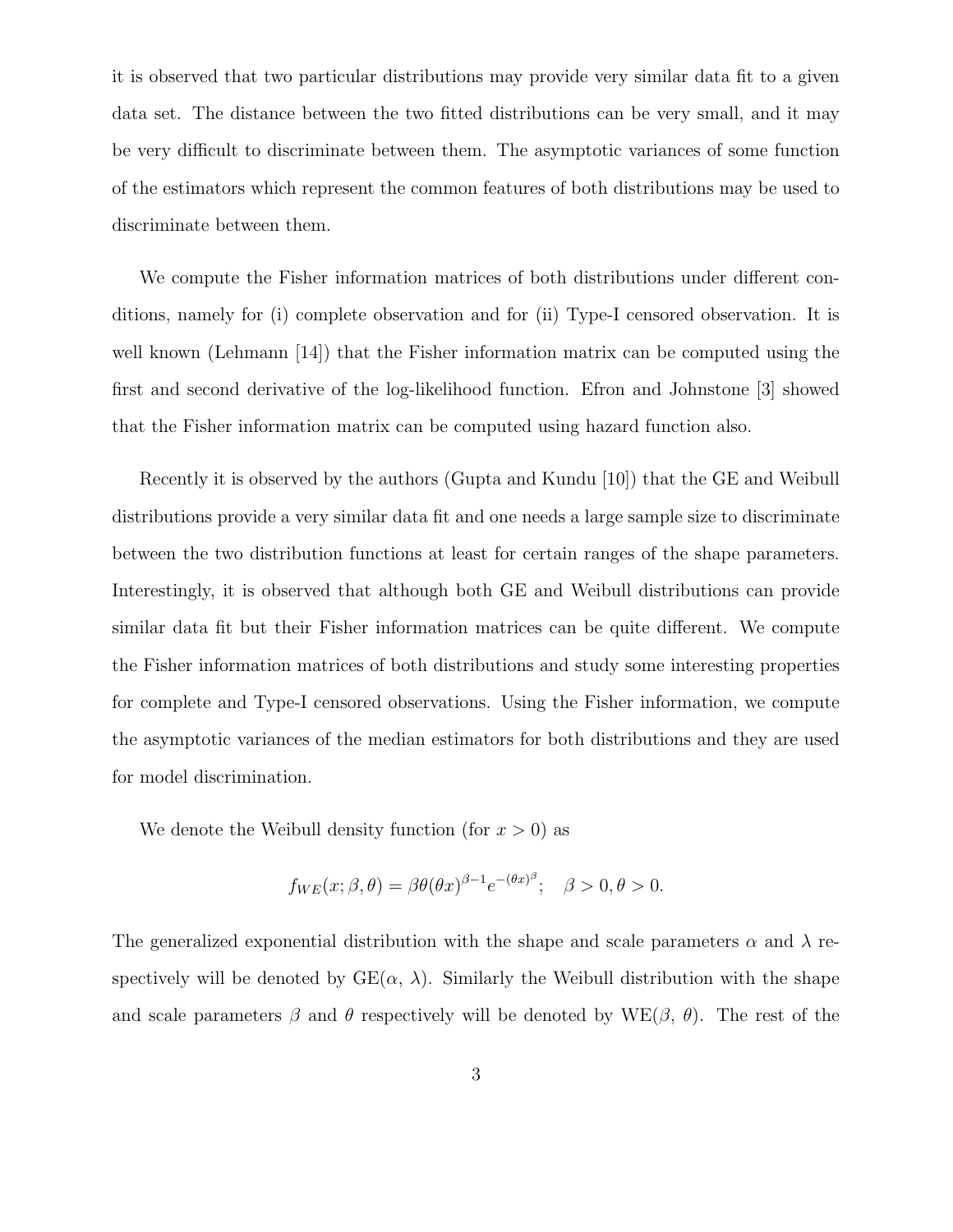it is observed that two particular distributions may provide very similar data fit to a given data set. The distance between the two fitted distributions can be very small, and it may be very difficult to discriminate between them. The asymptotic variances of some function of the estimators which represent the common features of both distributions may be used to discriminate between them.

We compute the Fisher information matrices of both distributions under different conditions, namely for (i) complete observation and for (ii) Type-I censored observation. It is well known (Lehmann [14]) that the Fisher information matrix can be computed using the first and second derivative of the log-likelihood function. Efron and Johnstone [3] showed that the Fisher information matrix can be computed using hazard function also.

Recently it is observed by the authors (Gupta and Kundu [10]) that the GE and Weibull distributions provide a very similar data fit and one needs a large sample size to discriminate between the two distribution functions at least for certain ranges of the shape parameters. Interestingly, it is observed that although both GE and Weibull distributions can provide similar data fit but their Fisher information matrices can be quite different. We compute the Fisher information matrices of both distributions and study some interesting properties for complete and Type-I censored observations. Using the Fisher information, we compute the asymptotic variances of the median estimators for both distributions and they are used for model discrimination.

We denote the Weibull density function (for  $x > 0$ ) as

$$
f_{WE}(x; \beta, \theta) = \beta \theta (\theta x)^{\beta - 1} e^{-(\theta x)^{\beta}}; \quad \beta > 0, \theta > 0.
$$

The generalized exponential distribution with the shape and scale parameters  $\alpha$  and  $\lambda$  respectively will be denoted by  $GE(\alpha, \lambda)$ . Similarly the Weibull distribution with the shape and scale parameters  $\beta$  and  $\theta$  respectively will be denoted by WE( $\beta$ ,  $\theta$ ). The rest of the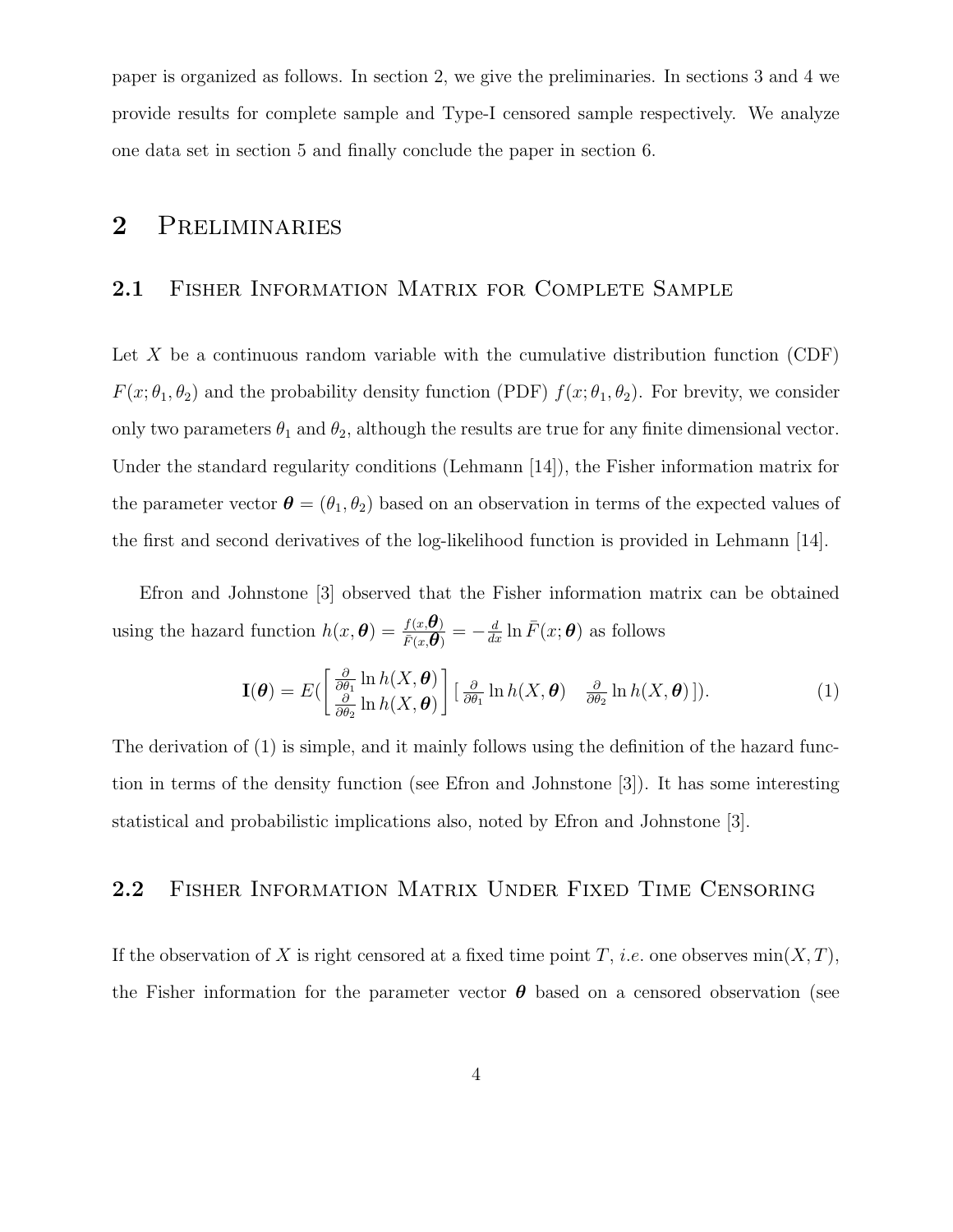paper is organized as follows. In section 2, we give the preliminaries. In sections 3 and 4 we provide results for complete sample and Type-I censored sample respectively. We analyze one data set in section 5 and finally conclude the paper in section 6.

### 2 Preliminaries

### 2.1 FISHER INFORMATION MATRIX FOR COMPLETE SAMPLE

Let X be a continuous random variable with the cumulative distribution function  $(CDF)$  $F(x; \theta_1, \theta_2)$  and the probability density function (PDF)  $f(x; \theta_1, \theta_2)$ . For brevity, we consider only two parameters  $\theta_1$  and  $\theta_2$ , although the results are true for any finite dimensional vector. Under the standard regularity conditions (Lehmann [14]), the Fisher information matrix for the parameter vector  $\boldsymbol{\theta} = (\theta_1, \theta_2)$  based on an observation in terms of the expected values of the first and second derivatives of the log-likelihood function is provided in Lehmann [14].

Efron and Johnstone [3] observed that the Fisher information matrix can be obtained using the hazard function  $h(x, \theta) = \frac{f(x, \theta)}{\bar{p}(x, \theta)}$  $\frac{f(x,\boldsymbol{\theta})}{\bar{F}(x,\boldsymbol{\theta})} = -\frac{d}{dx}\ln \bar{F}(x;\boldsymbol{\theta})$  as follows

$$
\mathbf{I}(\boldsymbol{\theta}) = E\left(\begin{bmatrix} \frac{\partial}{\partial \theta_1} \ln h(X, \boldsymbol{\theta}) \\ \frac{\partial}{\partial \theta_2} \ln h(X, \boldsymbol{\theta}) \end{bmatrix} \begin{bmatrix} \frac{\partial}{\partial \theta_1} \ln h(X, \boldsymbol{\theta}) & \frac{\partial}{\partial \theta_2} \ln h(X, \boldsymbol{\theta}) \end{bmatrix}\right).
$$
(1)

The derivation of (1) is simple, and it mainly follows using the definition of the hazard function in terms of the density function (see Efron and Johnstone [3]). It has some interesting statistical and probabilistic implications also, noted by Efron and Johnstone [3].

#### 2.2 FISHER INFORMATION MATRIX UNDER FIXED TIME CENSORING

If the observation of X is right censored at a fixed time point T, *i.e.* one observes  $min(X, T)$ , the Fisher information for the parameter vector  $\theta$  based on a censored observation (see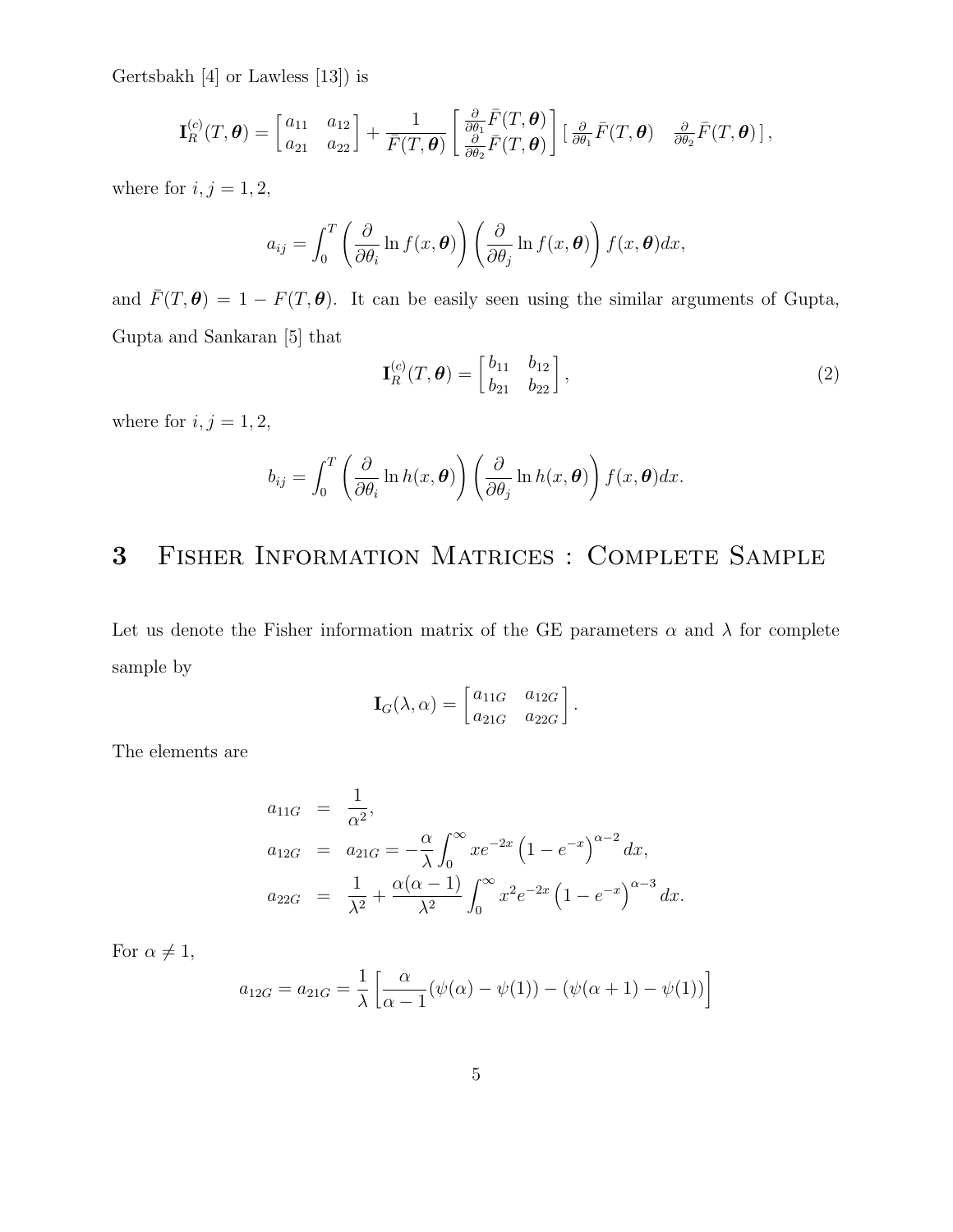Gertsbakh [4] or Lawless [13]) is

$$
\mathbf{I}_{R}^{(c)}(T,\boldsymbol{\theta}) = \begin{bmatrix} a_{11} & a_{12} \\ a_{21} & a_{22} \end{bmatrix} + \frac{1}{\bar{F}(T,\boldsymbol{\theta})} \begin{bmatrix} \frac{\partial}{\partial \theta_{1}} \bar{F}(T,\boldsymbol{\theta}) \\ \frac{\partial}{\partial \theta_{2}} \bar{F}(T,\boldsymbol{\theta}) \end{bmatrix} \begin{bmatrix} \frac{\partial}{\partial \theta_{1}} \bar{F}(T,\boldsymbol{\theta}) & \frac{\partial}{\partial \theta_{2}} \bar{F}(T,\boldsymbol{\theta}) \end{bmatrix},
$$

where for  $i, j = 1, 2$ ,

$$
a_{ij} = \int_0^T \left( \frac{\partial}{\partial \theta_i} \ln f(x, \boldsymbol{\theta}) \right) \left( \frac{\partial}{\partial \theta_j} \ln f(x, \boldsymbol{\theta}) \right) f(x, \boldsymbol{\theta}) dx,
$$

and  $\bar{F}(T,\theta) = 1 - F(T,\theta)$ . It can be easily seen using the similar arguments of Gupta, Gupta and Sankaran [5] that

$$
\mathbf{I}_R^{(c)}(T,\boldsymbol{\theta}) = \begin{bmatrix} b_{11} & b_{12} \\ b_{21} & b_{22} \end{bmatrix},\tag{2}
$$

where for  $i,j=1,2,$ 

$$
b_{ij} = \int_0^T \left( \frac{\partial}{\partial \theta_i} \ln h(x, \boldsymbol{\theta}) \right) \left( \frac{\partial}{\partial \theta_j} \ln h(x, \boldsymbol{\theta}) \right) f(x, \boldsymbol{\theta}) dx.
$$

## 3 Fisher Information Matrices : Complete Sample

Let us denote the Fisher information matrix of the GE parameters  $\alpha$  and  $\lambda$  for complete sample by

$$
\mathbf{I}_{G}(\lambda,\alpha) = \begin{bmatrix} a_{11G} & a_{12G} \\ a_{21G} & a_{22G} \end{bmatrix}.
$$

The elements are

$$
a_{11G} = \frac{1}{\alpha^2},
$$
  
\n
$$
a_{12G} = a_{21G} = -\frac{\alpha}{\lambda} \int_0^\infty x e^{-2x} (1 - e^{-x})^{\alpha - 2} dx,
$$
  
\n
$$
a_{22G} = \frac{1}{\lambda^2} + \frac{\alpha(\alpha - 1)}{\lambda^2} \int_0^\infty x^2 e^{-2x} (1 - e^{-x})^{\alpha - 3} dx.
$$

For  $\alpha \neq 1$ ,

$$
a_{12G} = a_{21G} = \frac{1}{\lambda} \left[ \frac{\alpha}{\alpha - 1} (\psi(\alpha) - \psi(1)) - (\psi(\alpha + 1) - \psi(1)) \right]
$$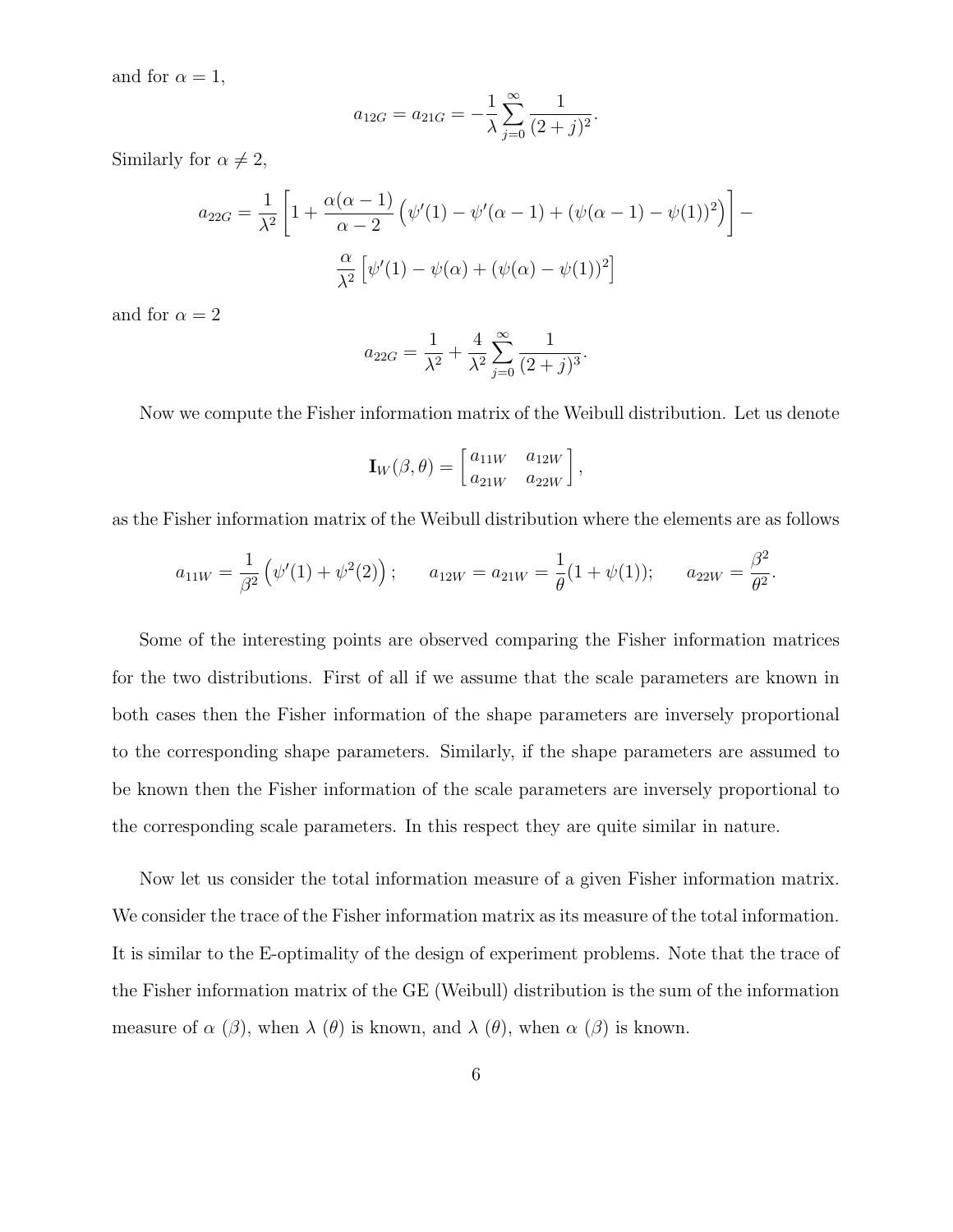and for  $\alpha = 1$ ,

$$
a_{12G} = a_{21G} = -\frac{1}{\lambda} \sum_{j=0}^{\infty} \frac{1}{(2+j)^2}.
$$

Similarly for  $\alpha \neq 2$ ,

$$
a_{22G} = \frac{1}{\lambda^2} \left[ 1 + \frac{\alpha(\alpha - 1)}{\alpha - 2} \left( \psi'(1) - \psi'(\alpha - 1) + (\psi(\alpha - 1) - \psi(1))^2 \right) \right] - \frac{\alpha}{\lambda^2} \left[ \psi'(1) - \psi(\alpha) + (\psi(\alpha) - \psi(1))^2 \right]
$$

and for  $\alpha = 2$ 

$$
a_{22G} = \frac{1}{\lambda^2} + \frac{4}{\lambda^2} \sum_{j=0}^{\infty} \frac{1}{(2+j)^3}.
$$

Now we compute the Fisher information matrix of the Weibull distribution. Let us denote

$$
\mathbf{I}_W(\beta,\theta) = \begin{bmatrix} a_{11W} & a_{12W} \\ a_{21W} & a_{22W} \end{bmatrix},
$$

as the Fisher information matrix of the Weibull distribution where the elements are as follows

$$
a_{11W} = \frac{1}{\beta^2} (\psi'(1) + \psi^2(2));
$$
  $a_{12W} = a_{21W} = \frac{1}{\theta} (1 + \psi(1));$   $a_{22W} = \frac{\beta^2}{\theta^2}$ 

.

Some of the interesting points are observed comparing the Fisher information matrices for the two distributions. First of all if we assume that the scale parameters are known in both cases then the Fisher information of the shape parameters are inversely proportional to the corresponding shape parameters. Similarly, if the shape parameters are assumed to be known then the Fisher information of the scale parameters are inversely proportional to the corresponding scale parameters. In this respect they are quite similar in nature.

Now let us consider the total information measure of a given Fisher information matrix. We consider the trace of the Fisher information matrix as its measure of the total information. It is similar to the E-optimality of the design of experiment problems. Note that the trace of the Fisher information matrix of the GE (Weibull) distribution is the sum of the information measure of  $\alpha$  ( $\beta$ ), when  $\lambda$  ( $\theta$ ) is known, and  $\lambda$  ( $\theta$ ), when  $\alpha$  ( $\beta$ ) is known.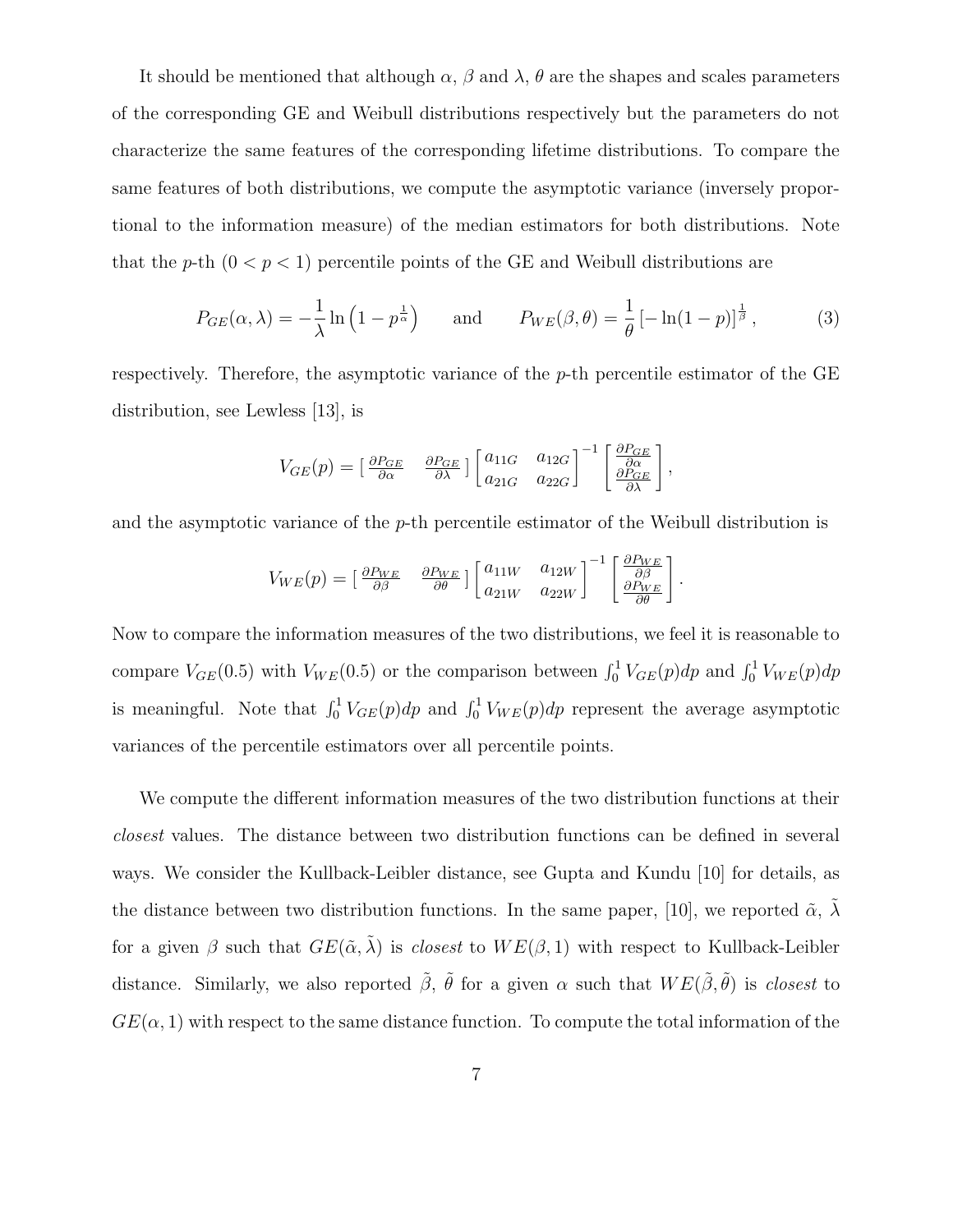It should be mentioned that although  $\alpha$ ,  $\beta$  and  $\lambda$ ,  $\theta$  are the shapes and scales parameters of the corresponding GE and Weibull distributions respectively but the parameters do not characterize the same features of the corresponding lifetime distributions. To compare the same features of both distributions, we compute the asymptotic variance (inversely proportional to the information measure) of the median estimators for both distributions. Note that the p-th  $(0 < p < 1)$  percentile points of the GE and Weibull distributions are

$$
P_{GE}(\alpha,\lambda) = -\frac{1}{\lambda} \ln \left( 1 - p^{\frac{1}{\alpha}} \right) \quad \text{and} \quad P_{WE}(\beta,\theta) = \frac{1}{\theta} \left[ -\ln(1-p) \right]^{\frac{1}{\beta}}, \quad (3)
$$

respectively. Therefore, the asymptotic variance of the  $p$ -th percentile estimator of the GE distribution, see Lewless [13], is

$$
V_{GE}(p) = \begin{bmatrix} \frac{\partial P_{GE}}{\partial \alpha} & \frac{\partial P_{GE}}{\partial \lambda} \end{bmatrix} \begin{bmatrix} a_{11G} & a_{12G} \\ a_{21G} & a_{22G} \end{bmatrix}^{-1} \begin{bmatrix} \frac{\partial P_{GE}}{\partial \alpha} \\ \frac{\partial P_{GE}}{\partial \lambda} \end{bmatrix},
$$

and the asymptotic variance of the  $p$ -th percentile estimator of the Weibull distribution is

$$
V_{WE}(p) = \begin{bmatrix} \frac{\partial P_{WE}}{\partial \beta} & \frac{\partial P_{WE}}{\partial \theta} \end{bmatrix} \begin{bmatrix} a_{11W} & a_{12W} \\ a_{21W} & a_{22W} \end{bmatrix}^{-1} \begin{bmatrix} \frac{\partial P_{WE}}{\partial \beta} \\ \frac{\partial P_{WE}}{\partial \theta} \end{bmatrix}.
$$

Now to compare the information measures of the two distributions, we feel it is reasonable to compare  $V_{GE}(0.5)$  with  $V_{WE}(0.5)$  or the comparison between  $\int_0^1 V_{GE}(p)dp$  and  $\int_0^1 V_{WE}(p)dp$ is meaningful. Note that  $\int_0^1 V_{GE}(p) dp$  and  $\int_0^1 V_{WE}(p) dp$  represent the average asymptotic variances of the percentile estimators over all percentile points.

We compute the different information measures of the two distribution functions at their closest values. The distance between two distribution functions can be defined in several ways. We consider the Kullback-Leibler distance, see Gupta and Kundu [10] for details, as the distance between two distribution functions. In the same paper, [10], we reported  $\tilde{\alpha}$ ,  $\lambda$ for a given  $\beta$  such that  $GE(\tilde{\alpha}, \tilde{\lambda})$  is *closest* to  $WE(\beta, 1)$  with respect to Kullback-Leibler distance. Similarly, we also reported  $\tilde{\beta}$ ,  $\tilde{\theta}$  for a given  $\alpha$  such that  $WE(\tilde{\beta}, \tilde{\theta})$  is *closest* to  $GE(\alpha, 1)$  with respect to the same distance function. To compute the total information of the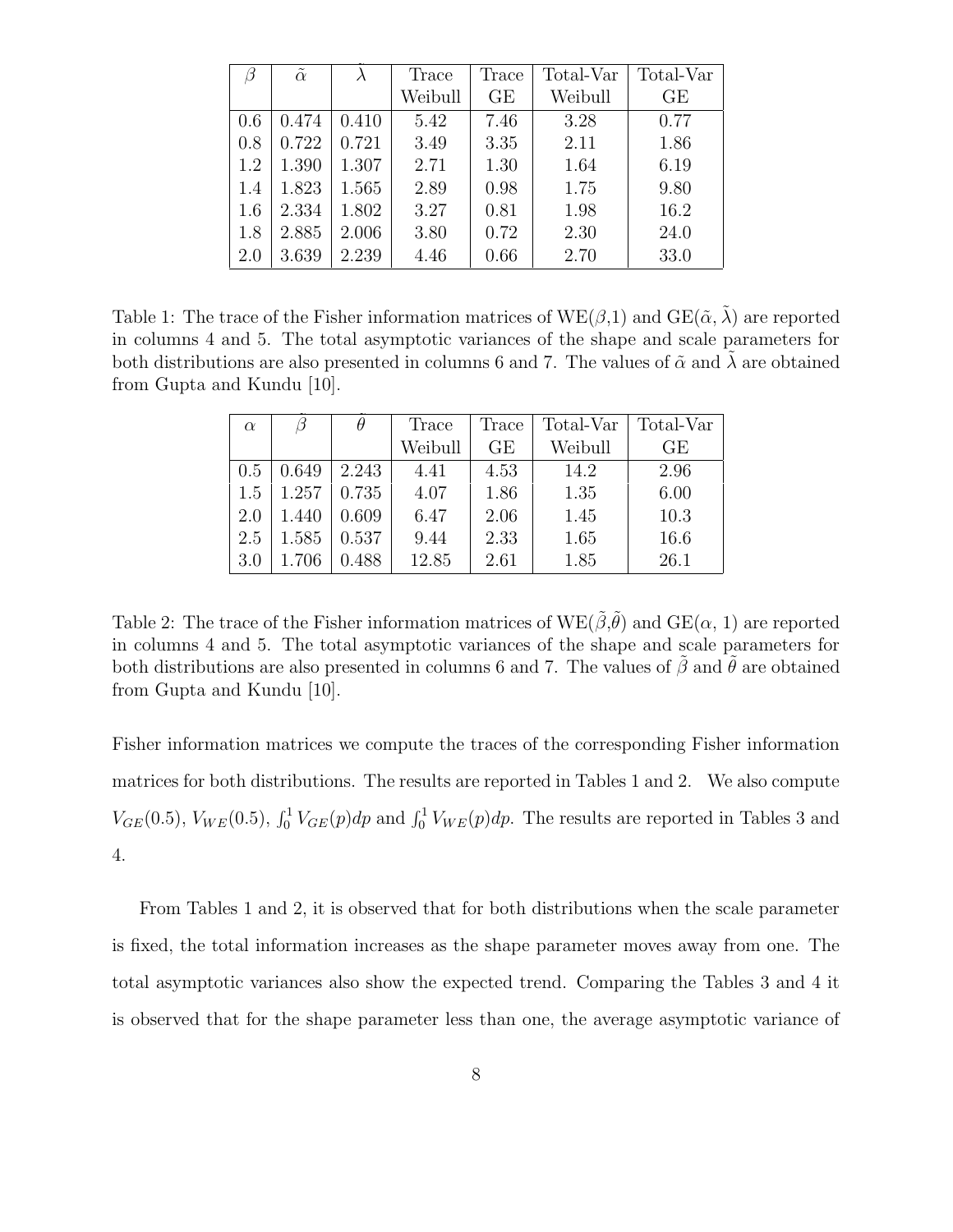|     | $\tilde{\alpha}$ | $\lambda$ | Trace   | Trace | Total-Var | Total-Var |
|-----|------------------|-----------|---------|-------|-----------|-----------|
|     |                  |           | Weibull | GE    | Weibull   | GE        |
| 0.6 | 0.474            | 0.410     | 5.42    | 7.46  | 3.28      | 0.77      |
| 0.8 | 0.722            | 0.721     | 3.49    | 3.35  | 2.11      | 1.86      |
| 1.2 | 1.390            | 1.307     | 2.71    | 1.30  | 1.64      | 6.19      |
| 1.4 | 1.823            | 1.565     | 2.89    | 0.98  | 1.75      | 9.80      |
| 1.6 | 2.334            | 1.802     | 3.27    | 0.81  | 1.98      | 16.2      |
| 1.8 | 2.885            | 2.006     | 3.80    | 0.72  | 2.30      | 24.0      |
| 2.0 | 3.639            | 2.239     | 4.46    | 0.66  | 2.70      | 33.0      |

Table 1: The trace of the Fisher information matrices of  $WE(\beta,1)$  and  $GE(\tilde{\alpha}, \tilde{\lambda})$  are reported in columns 4 and 5. The total asymptotic variances of the shape and scale parameters for both distributions are also presented in columns 6 and 7. The values of  $\tilde{\alpha}$  and  $\lambda$  are obtained from Gupta and Kundu [10].

| $\alpha$ |       | $\theta$ | Trace   | Trace | Total-Var | Total-Var |
|----------|-------|----------|---------|-------|-----------|-----------|
|          |       |          | Weibull | GE    | Weibull   | GЕ        |
| 0.5      | 0.649 | 2.243    | 4.41    | 4.53  | 14.2      | 2.96      |
| 1.5      | 1.257 | 0.735    | 4.07    | 1.86  | 1.35      | 6.00      |
| 2.0      | 1.440 | 0.609    | 6.47    | 2.06  | 1.45      | 10.3      |
| 2.5      | 1.585 | 0.537    | 9.44    | 2.33  | 1.65      | 16.6      |
| 3.0      | 1.706 | 0.488    | 12.85   | 2.61  | 1.85      | 26.1      |

Table 2: The trace of the Fisher information matrices of  $WE(\tilde{\beta}, \tilde{\theta})$  and  $GE(\alpha, 1)$  are reported in columns 4 and 5. The total asymptotic variances of the shape and scale parameters for both distributions are also presented in columns 6 and 7. The values of  $\tilde{\beta}$  and  $\tilde{\theta}$  are obtained from Gupta and Kundu [10].

Fisher information matrices we compute the traces of the corresponding Fisher information matrices for both distributions. The results are reported in Tables 1 and 2. We also compute  $V_{GE}(0.5)$ ,  $V_{WE}(0.5)$ ,  $\int_0^1 V_{GE}(p) dp$  and  $\int_0^1 V_{WE}(p) dp$ . The results are reported in Tables 3 and 4.

From Tables 1 and 2, it is observed that for both distributions when the scale parameter is fixed, the total information increases as the shape parameter moves away from one. The total asymptotic variances also show the expected trend. Comparing the Tables 3 and 4 it is observed that for the shape parameter less than one, the average asymptotic variance of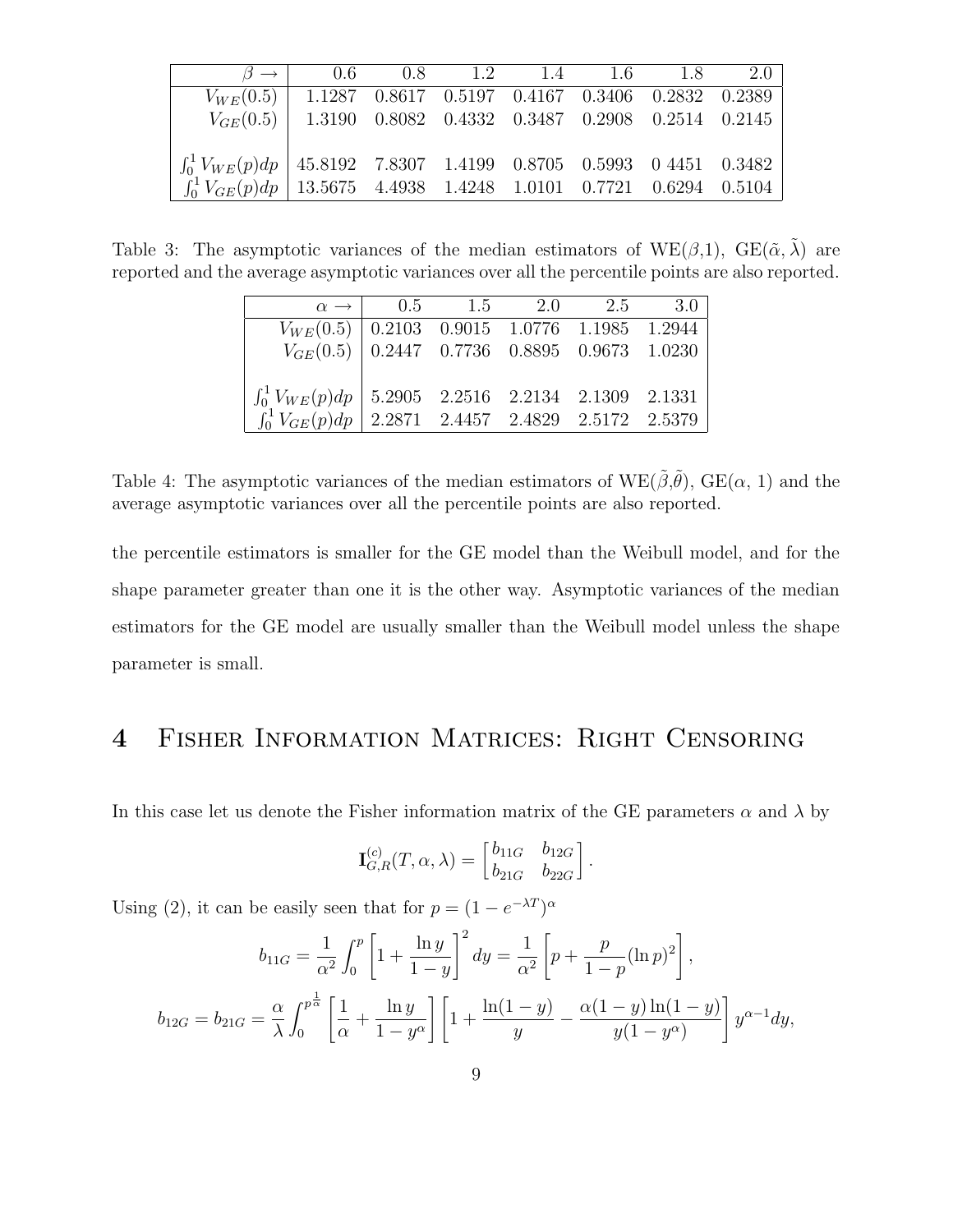|                                                                           | $\beta \rightarrow$ 0.6 0.8 1.2 1.4 1.6 1.8 2.0 |  |  |  |
|---------------------------------------------------------------------------|-------------------------------------------------|--|--|--|
| $V_{WE}(0.5)$   1.1287 0.8617 0.5197 0.4167 0.3406 0.2832 0.2389          |                                                 |  |  |  |
| $V_{GE}(0.5)$ 1.3190 0.8082 0.4332 0.3487 0.2908 0.2514 0.2145            |                                                 |  |  |  |
|                                                                           |                                                 |  |  |  |
| $\int_0^1 V_{WE}(p) dp$ 45.8192 7.8307 1.4199 0.8705 0.5993 0.4451 0.3482 |                                                 |  |  |  |
| $\int_0^1 V_{GE}(p) dp$ 13.5675 4.4938 1.4248 1.0101 0.7721 0.6294 0.5104 |                                                 |  |  |  |

Table 3: The asymptotic variances of the median estimators of  $WE(\beta,1)$ ,  $GE(\tilde{\alpha}, \tilde{\lambda})$  are reported and the average asymptotic variances over all the percentile points are also reported.

|                                                                                                                                                            | $\alpha \to 0.5$ 1.5 2.0 2.5 3.0 |  |  |
|------------------------------------------------------------------------------------------------------------------------------------------------------------|----------------------------------|--|--|
| $\begin{array}{c cccccc} V_{WE}(0.5) & 0.2103 & 0.9015 & 1.0776 & 1.1985 & 1.2944 \\ V_{GE}(0.5) & 0.2447 & 0.7736 & 0.8895 & 0.9673 & 1.0230 \end{array}$ |                                  |  |  |
|                                                                                                                                                            |                                  |  |  |
|                                                                                                                                                            |                                  |  |  |
| $\int_0^1 V_{WE}(p) dp$ 5.2905 2.2516 2.2134 2.1309 2.1331                                                                                                 |                                  |  |  |
| $\left[\int_0^1 V_{GE}(p)dp\right]$ 2.2871 2.4457 2.4829 2.5172 2.5379                                                                                     |                                  |  |  |

Table 4: The asymptotic variances of the median estimators of  $WE(\tilde{\beta}, \tilde{\theta})$ ,  $GE(\alpha, 1)$  and the average asymptotic variances over all the percentile points are also reported.

the percentile estimators is smaller for the GE model than the Weibull model, and for the shape parameter greater than one it is the other way. Asymptotic variances of the median estimators for the GE model are usually smaller than the Weibull model unless the shape parameter is small.

### 4 Fisher Information Matrices: Right Censoring

In this case let us denote the Fisher information matrix of the GE parameters  $\alpha$  and  $\lambda$  by

$$
\mathbf{I}_{G,R}^{(c)}(T,\alpha,\lambda) = \begin{bmatrix} b_{11G} & b_{12G} \\ b_{21G} & b_{22G} \end{bmatrix}.
$$

Using (2), it can be easily seen that for  $p = (1 - e^{-\lambda T})^{\alpha}$ 

$$
b_{11G} = \frac{1}{\alpha^2} \int_0^p \left[ 1 + \frac{\ln y}{1 - y} \right]^2 dy = \frac{1}{\alpha^2} \left[ p + \frac{p}{1 - p} (\ln p)^2 \right],
$$
  

$$
b_{12G} = b_{21G} = \frac{\alpha}{\lambda} \int_0^{p^{\frac{1}{\alpha}}} \left[ \frac{1}{\alpha} + \frac{\ln y}{1 - y^{\alpha}} \right] \left[ 1 + \frac{\ln(1 - y)}{y} - \frac{\alpha(1 - y)\ln(1 - y)}{y(1 - y^{\alpha})} \right] y^{\alpha - 1} dy,
$$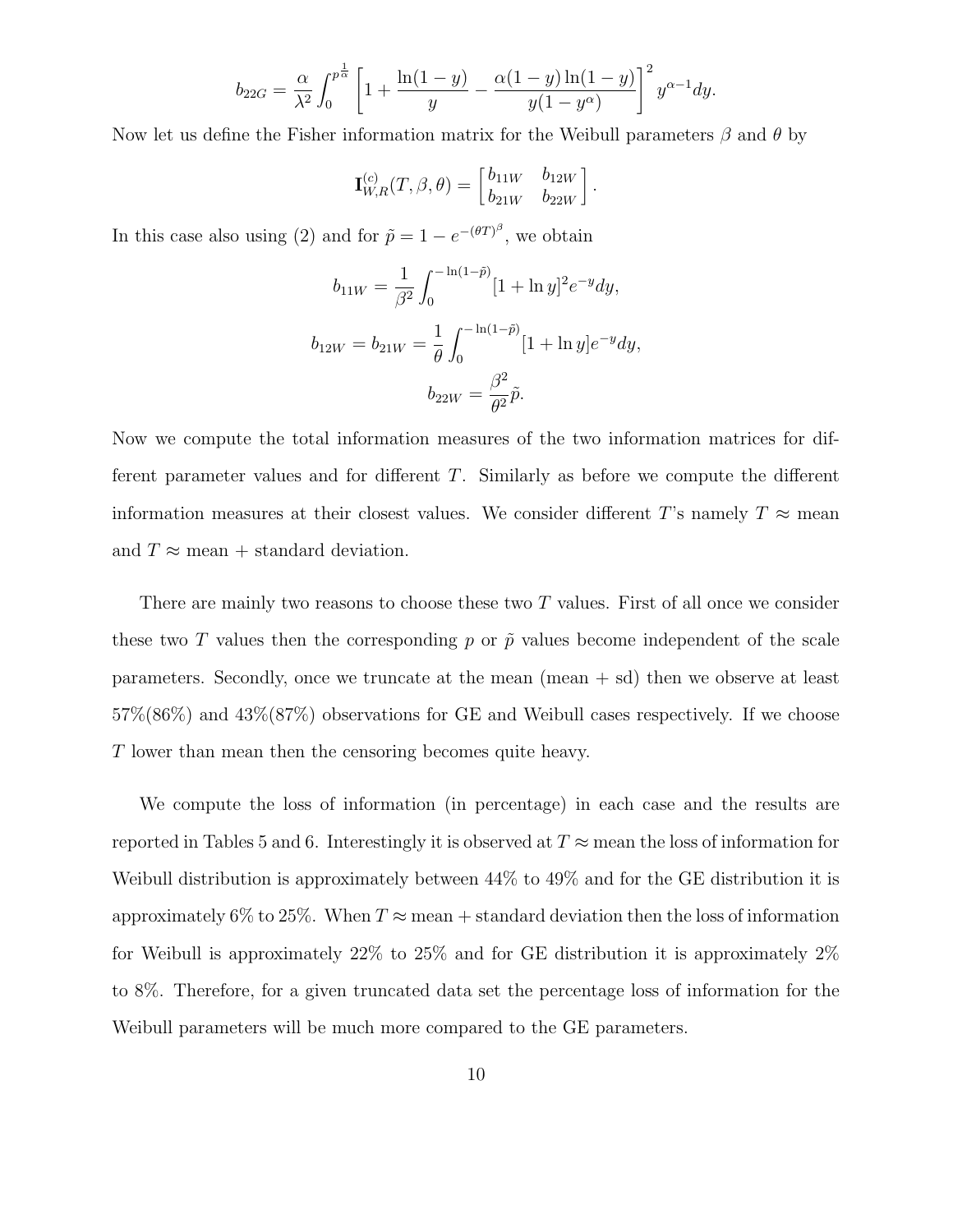$$
b_{22G} = \frac{\alpha}{\lambda^2} \int_0^{p^{\frac{1}{\alpha}}} \left[ 1 + \frac{\ln(1-y)}{y} - \frac{\alpha(1-y)\ln(1-y)}{y(1-y^{\alpha})} \right]^2 y^{\alpha-1} dy.
$$

Now let us define the Fisher information matrix for the Weibull parameters  $\beta$  and  $\theta$  by

$$
\mathbf{I}_{W,R}^{(c)}(T,\beta,\theta) = \begin{bmatrix} b_{11W} & b_{12W} \\ b_{21W} & b_{22W} \end{bmatrix}.
$$

In this case also using (2) and for  $\tilde{p} = 1 - e^{-(\theta T)^{\beta}}$ , we obtain

$$
b_{11W} = \frac{1}{\beta^2} \int_0^{-\ln(1-\tilde{p})} [1 + \ln y]^2 e^{-y} dy,
$$
  

$$
b_{12W} = b_{21W} = \frac{1}{\theta} \int_0^{-\ln(1-\tilde{p})} [1 + \ln y] e^{-y} dy,
$$
  

$$
b_{22W} = \frac{\beta^2}{\theta^2} \tilde{p}.
$$

Now we compute the total information measures of the two information matrices for different parameter values and for different T. Similarly as before we compute the different information measures at their closest values. We consider different T's namely  $T \approx$  mean and  $T \approx$  mean + standard deviation.

There are mainly two reasons to choose these two T values. First of all once we consider these two T values then the corresponding p or  $\tilde{p}$  values become independent of the scale parameters. Secondly, once we truncate at the mean  $(\text{mean} + \text{sd})$  then we observe at least 57%(86%) and 43%(87%) observations for GE and Weibull cases respectively. If we choose T lower than mean then the censoring becomes quite heavy.

We compute the loss of information (in percentage) in each case and the results are reported in Tables 5 and 6. Interestingly it is observed at  $T \approx$  mean the loss of information for Weibull distribution is approximately between 44% to 49% and for the GE distribution it is approximately 6% to 25%. When  $T \approx$  mean + standard deviation then the loss of information for Weibull is approximately 22% to 25% and for GE distribution it is approximately 2% to 8%. Therefore, for a given truncated data set the percentage loss of information for the Weibull parameters will be much more compared to the GE parameters.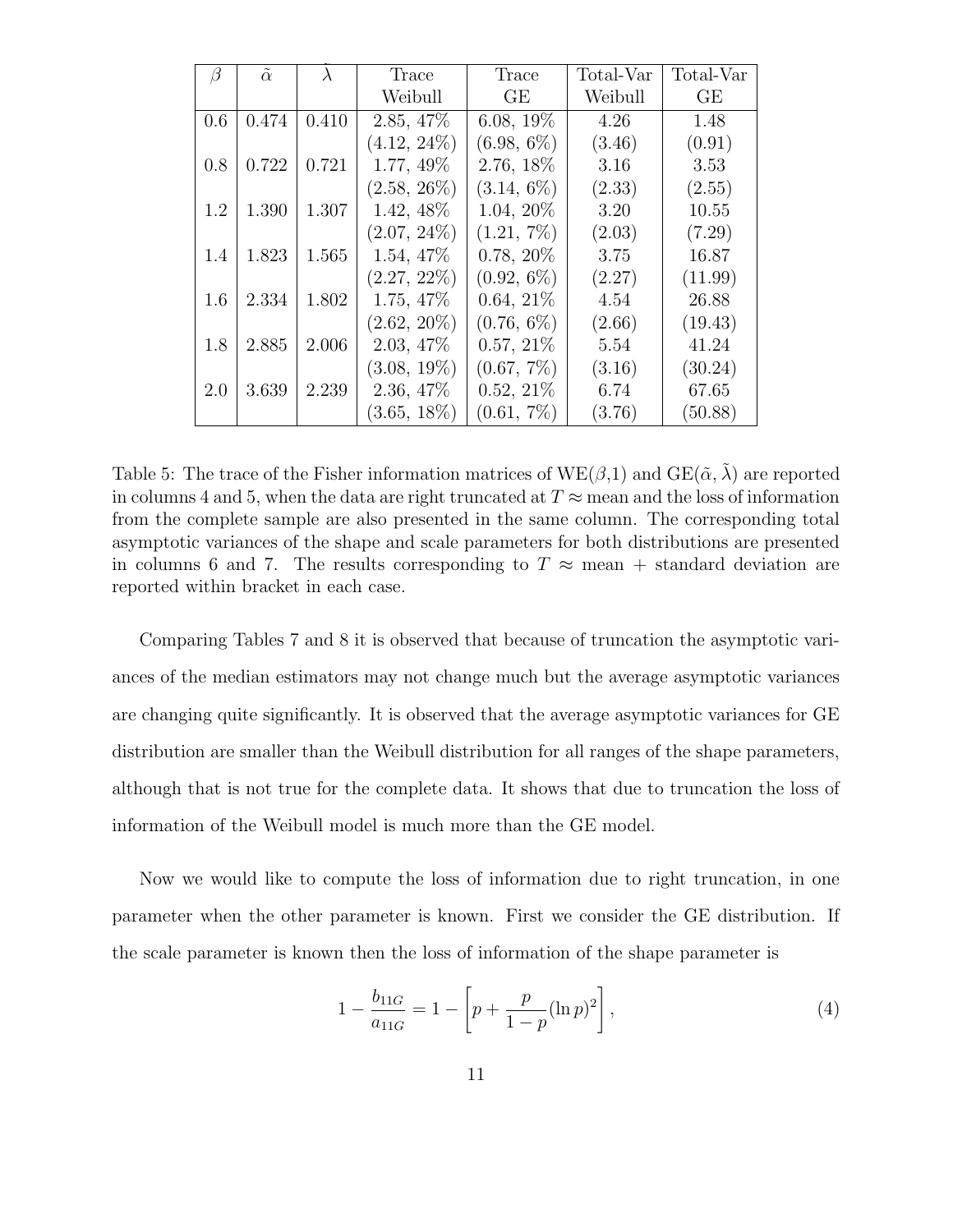| β   | $\tilde{\alpha}$ | $\lambda$ | Trace          | Trace         | Total-Var | Total-Var |
|-----|------------------|-----------|----------------|---------------|-----------|-----------|
|     |                  |           | Weibull        | GE            | Weibull   | GE        |
| 0.6 | 0.474            | 0.410     | 2.85, 47%      | $6.08, 19\%$  | 4.26      | 1.48      |
|     |                  |           | $(4.12, 24\%)$ | $(6.98, 6\%)$ | (3.46)    | (0.91)    |
| 0.8 | 0.722            | 0.721     | 1.77, 49%      | 2.76, 18%     | 3.16      | 3.53      |
|     |                  |           | $(2.58, 26\%)$ | $(3.14, 6\%)$ | (2.33)    | (2.55)    |
| 1.2 | 1.390            | 1.307     | $1.42, 48\%$   | 1.04, 20%     | 3.20      | 10.55     |
|     |                  |           | $(2.07, 24\%)$ | $(1.21, 7\%)$ | (2.03)    | (7.29)    |
| 1.4 | 1.823            | 1.565     | $1.54, 47\%$   | $0.78, 20\%$  | 3.75      | 16.87     |
|     |                  |           | $(2.27, 22\%)$ | $(0.92, 6\%)$ | (2.27)    | (11.99)   |
| 1.6 | 2.334            | 1.802     | $1.75, 47\%$   | $0.64, 21\%$  | 4.54      | 26.88     |
|     |                  |           | $(2.62, 20\%)$ | $(0.76, 6\%)$ | (2.66)    | (19.43)   |
| 1.8 | 2.885            | 2.006     | $2.03, 47\%$   | $0.57, 21\%$  | 5.54      | 41.24     |
|     |                  |           | $(3.08, 19\%)$ | $(0.67, 7\%)$ | (3.16)    | (30.24)   |
| 2.0 | 3.639            | 2.239     | $2.36, 47\%$   | $0.52, 21\%$  | 6.74      | 67.65     |
|     |                  |           | $(3.65, 18\%)$ | $(0.61, 7\%)$ | (3.76)    | (50.88)   |

Table 5: The trace of the Fisher information matrices of  $WE(\beta,1)$  and  $GE(\tilde{\alpha},\tilde{\lambda})$  are reported in columns 4 and 5, when the data are right truncated at  $T \approx$  mean and the loss of information from the complete sample are also presented in the same column. The corresponding total asymptotic variances of the shape and scale parameters for both distributions are presented in columns 6 and 7. The results corresponding to  $T \approx$  mean + standard deviation are reported within bracket in each case.

Comparing Tables 7 and 8 it is observed that because of truncation the asymptotic variances of the median estimators may not change much but the average asymptotic variances are changing quite significantly. It is observed that the average asymptotic variances for GE distribution are smaller than the Weibull distribution for all ranges of the shape parameters, although that is not true for the complete data. It shows that due to truncation the loss of information of the Weibull model is much more than the GE model.

Now we would like to compute the loss of information due to right truncation, in one parameter when the other parameter is known. First we consider the GE distribution. If the scale parameter is known then the loss of information of the shape parameter is

$$
1 - \frac{b_{11G}}{a_{11G}} = 1 - \left[ p + \frac{p}{1 - p} (\ln p)^2 \right],\tag{4}
$$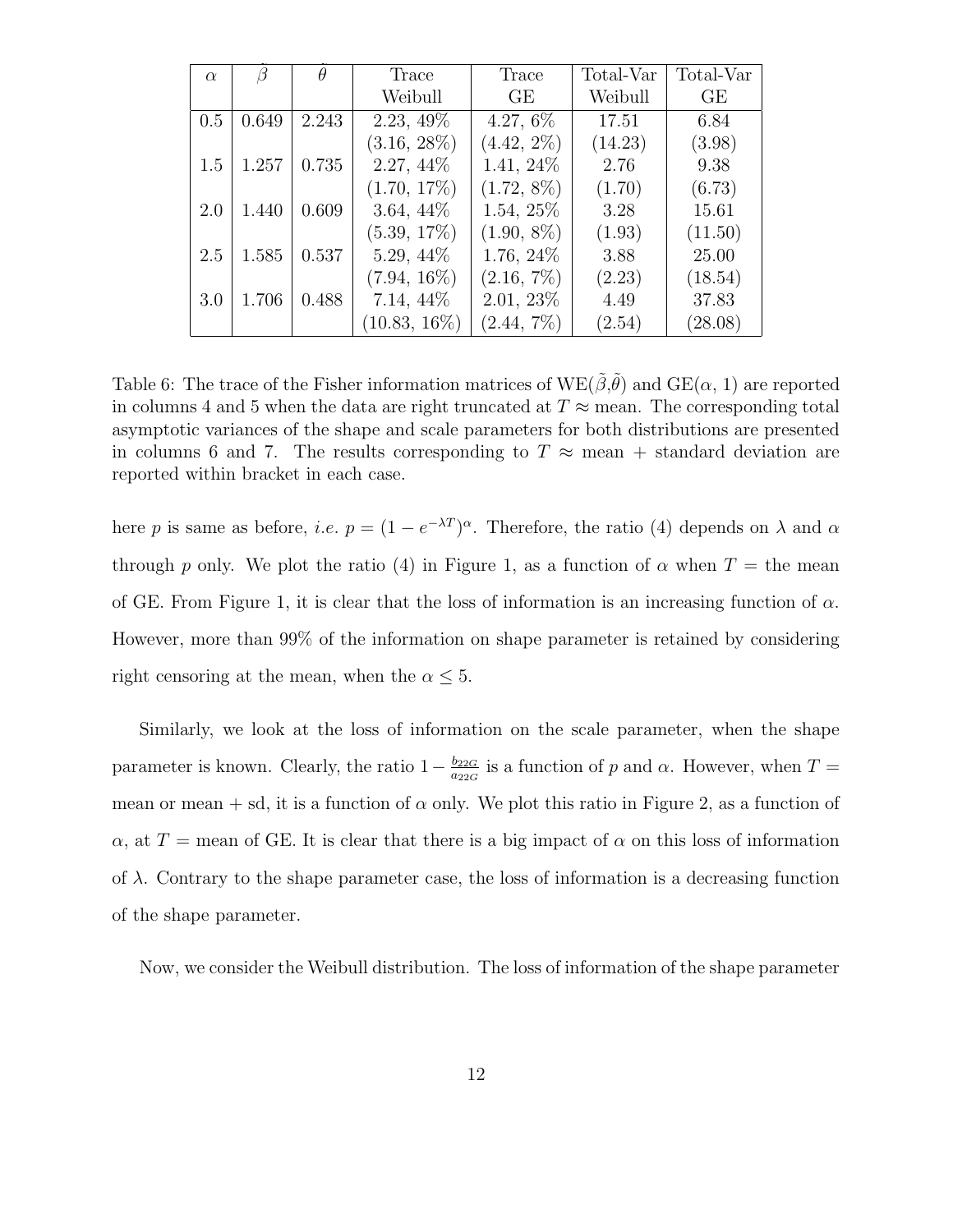| $\alpha$ | В     | $\theta$ | Trace          | Trace         | Total-Var | Total-Var |
|----------|-------|----------|----------------|---------------|-----------|-----------|
|          |       |          | Weibull        | GE            | Weibull   | GE        |
| 0.5      | 0.649 | 2.243    | $2.23, 49\%$   | $4.27,6\%$    | 17.51     | 6.84      |
|          |       |          | $(3.16, 28\%)$ | $(4.42, 2\%)$ | (14.23)   | (3.98)    |
| 1.5      | 1.257 | 0.735    | 2.27, 44\%     | 1.41, 24%     | 2.76      | 9.38      |
|          |       |          | $(1.70, 17\%)$ | $(1.72, 8\%)$ | (1.70)    | (6.73)    |
| 2.0      | 1.440 | 0.609    | $3.64, 44\%$   | 1.54, 25%     | 3.28      | 15.61     |
|          |       |          | $(5.39, 17\%)$ | $(1.90, 8\%)$ | (1.93)    | (11.50)   |
| 2.5      | 1.585 | 0.537    | $5.29, 44\%$   | 1.76, 24\%    | 3.88      | 25.00     |
|          |       |          | $(7.94, 16\%)$ | $(2.16, 7\%)$ | (2.23)    | (18.54)   |
| 3.0      | 1.706 | 0.488    | $7.14, 44\%$   | $2.01, 23\%$  | 4.49      | 37.83     |
|          |       |          | $10.83, 16\%)$ | $(2.44, 7\%)$ | (2.54)    | (28.08)   |

Table 6: The trace of the Fisher information matrices of  $WE(\tilde{\beta}, \tilde{\theta})$  and  $GE(\alpha, 1)$  are reported in columns 4 and 5 when the data are right truncated at  $T \approx$  mean. The corresponding total asymptotic variances of the shape and scale parameters for both distributions are presented in columns 6 and 7. The results corresponding to  $T \approx$  mean + standard deviation are reported within bracket in each case.

here p is same as before, *i.e.*  $p = (1 - e^{-\lambda T})^{\alpha}$ . Therefore, the ratio (4) depends on  $\lambda$  and  $\alpha$ through p only. We plot the ratio (4) in Figure 1, as a function of  $\alpha$  when  $T =$  the mean of GE. From Figure 1, it is clear that the loss of information is an increasing function of  $\alpha$ . However, more than 99% of the information on shape parameter is retained by considering right censoring at the mean, when the  $\alpha \leq 5$ .

Similarly, we look at the loss of information on the scale parameter, when the shape parameter is known. Clearly, the ratio  $1-\frac{b_{22G}}{a_{22G}}$  $\frac{b_{22G}}{a_{22G}}$  is a function of p and  $\alpha$ . However, when  $T =$ mean or mean + sd, it is a function of  $\alpha$  only. We plot this ratio in Figure 2, as a function of  $\alpha$ , at T = mean of GE. It is clear that there is a big impact of  $\alpha$  on this loss of information of  $\lambda$ . Contrary to the shape parameter case, the loss of information is a decreasing function of the shape parameter.

Now, we consider the Weibull distribution. The loss of information of the shape parameter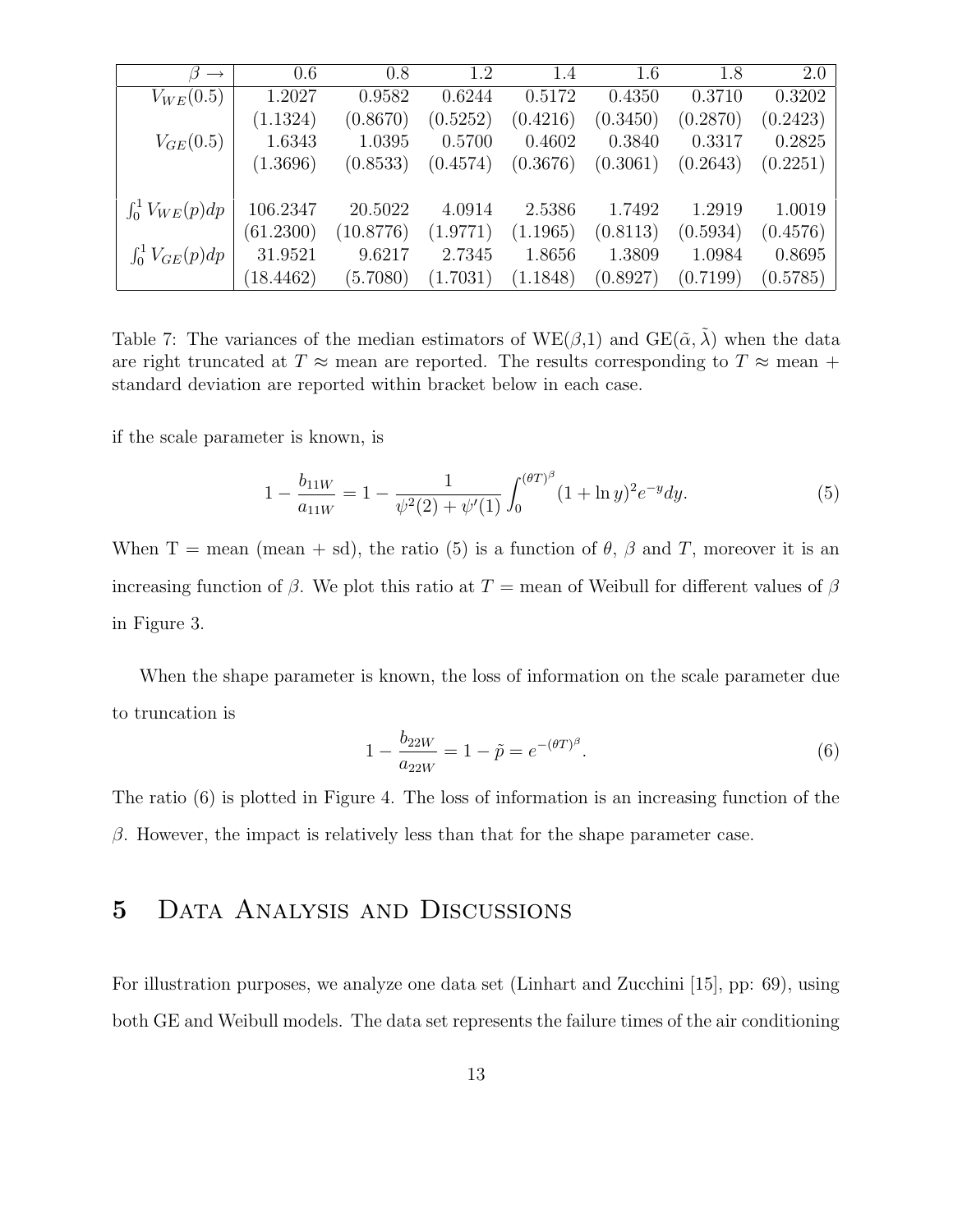| $\longrightarrow$       | 0.6       | 0.8       | 1.2      | 1.4      | 1.6      | 1.8      | 2.0      |
|-------------------------|-----------|-----------|----------|----------|----------|----------|----------|
| $V_{WE}(0.5)$           | 1.2027    | 0.9582    | 0.6244   | 0.5172   | 0.4350   | 0.3710   | 0.3202   |
|                         | (1.1324)  | (0.8670)  | (0.5252) | (0.4216) | (0.3450) | (0.2870) | (0.2423) |
| $V_{GE}(0.5)$           | 1.6343    | 1.0395    | 0.5700   | 0.4602   | 0.3840   | 0.3317   | 0.2825   |
|                         | (1.3696)  | (0.8533)  | (0.4574) | (0.3676) | (0.3061) | (0.2643) | (0.2251) |
|                         |           |           |          |          |          |          |          |
| $\int_0^1 V_{WE}(p) dp$ | 106.2347  | 20.5022   | 4.0914   | 2.5386   | 1.7492   | 1.2919   | 1.0019   |
|                         | (61.2300) | (10.8776) | (1.9771) | (1.1965) | (0.8113) | (0.5934) | (0.4576) |
| $\int_0^1 V_{GE}(p)dp$  | 31.9521   | 9.6217    | 2.7345   | 1.8656   | 1.3809   | 1.0984   | 0.8695   |
|                         | (18.4462) | (5.7080)  | (1.7031) | (1.1848) | (0.8927) | (0.7199) | (0.5785) |

Table 7: The variances of the median estimators of  $WE(\beta,1)$  and  $GE(\tilde{\alpha},\tilde{\lambda})$  when the data are right truncated at T  $\approx$  mean are reported. The results corresponding to T  $\approx$  mean + standard deviation are reported within bracket below in each case.

if the scale parameter is known, is

$$
1 - \frac{b_{11W}}{a_{11W}} = 1 - \frac{1}{\psi^2(2) + \psi'(1)} \int_0^{(\theta T)^\beta} (1 + \ln y)^2 e^{-y} dy.
$$
 (5)

When T = mean (mean + sd), the ratio (5) is a function of  $\theta$ ,  $\beta$  and T, moreover it is an increasing function of β. We plot this ratio at  $T =$  mean of Weibull for different values of β in Figure 3.

When the shape parameter is known, the loss of information on the scale parameter due to truncation is

$$
1 - \frac{b_{22W}}{a_{22W}} = 1 - \tilde{p} = e^{-(\theta T)^{\beta}}.
$$
\n(6)

The ratio (6) is plotted in Figure 4. The loss of information is an increasing function of the  $\beta$ . However, the impact is relatively less than that for the shape parameter case.

### 5 Data Analysis and Discussions

For illustration purposes, we analyze one data set (Linhart and Zucchini [15], pp: 69), using both GE and Weibull models. The data set represents the failure times of the air conditioning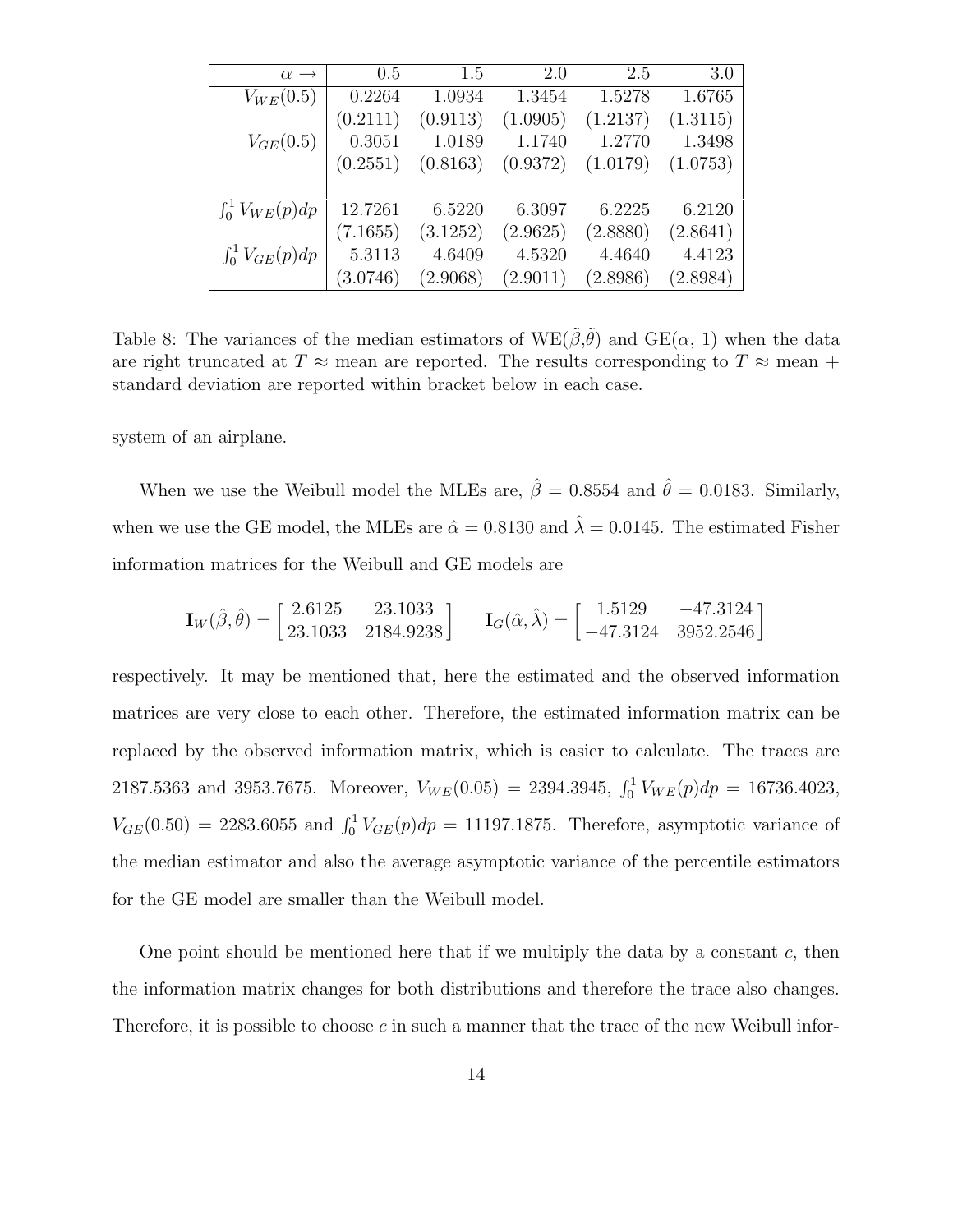| $\alpha \rightarrow$   | 0.5      | 1.5      | 2.0      | 2.5      | 3.0      |
|------------------------|----------|----------|----------|----------|----------|
| $V_{WE}(0.5)$          | 0.2264   | 1.0934   | 1.3454   | 1.5278   | 1.6765   |
|                        | (0.2111) | (0.9113) | (1.0905) | (1.2137) | (1.3115) |
| $V_{GE}(0.5)$          | 0.3051   | 1.0189   | 1.1740   | 1.2770   | 1.3498   |
|                        | (0.2551) | (0.8163) | (0.9372) | (1.0179) | (1.0753) |
|                        |          |          |          |          |          |
| $\int_0^1 V_{WE}(p)dp$ | 12.7261  | 6.5220   | 6.3097   | 6.2225   | 6.2120   |
|                        | (7.1655) | (3.1252) | (2.9625) | (2.8880) | (2.8641) |
| $\int_0^1 V_{GE}(p)dp$ | 5.3113   | 4.6409   | 4.5320   | 4.4640   | 4.4123   |
|                        | (3.0746) | (2.9068) | (2.9011) | (2.8986) | (2.8984) |

Table 8: The variances of the median estimators of  $WE(\tilde{\beta}, \tilde{\theta})$  and  $GE(\alpha, 1)$  when the data are right truncated at T  $\approx$  mean are reported. The results corresponding to T  $\approx$  mean + standard deviation are reported within bracket below in each case.

system of an airplane.

When we use the Weibull model the MLEs are,  $\hat{\beta} = 0.8554$  and  $\hat{\theta} = 0.0183$ . Similarly, when we use the GE model, the MLEs are  $\hat{\alpha} = 0.8130$  and  $\hat{\lambda} = 0.0145$ . The estimated Fisher information matrices for the Weibull and GE models are

$$
\mathbf{I}_W(\hat{\beta}, \hat{\theta}) = \begin{bmatrix} 2.6125 & 23.1033 \\ 23.1033 & 2184.9238 \end{bmatrix} \quad \mathbf{I}_G(\hat{\alpha}, \hat{\lambda}) = \begin{bmatrix} 1.5129 & -47.3124 \\ -47.3124 & 3952.2546 \end{bmatrix}
$$

respectively. It may be mentioned that, here the estimated and the observed information matrices are very close to each other. Therefore, the estimated information matrix can be replaced by the observed information matrix, which is easier to calculate. The traces are 2187.5363 and 3953.7675. Moreover,  $V_{WE}(0.05) = 2394.3945$ ,  $\int_0^1 V_{WE}(p) dp = 16736.4023$ ,  $V_{GE}(0.50) = 2283.6055$  and  $\int_0^1 V_{GE}(p) dp = 11197.1875$ . Therefore, asymptotic variance of the median estimator and also the average asymptotic variance of the percentile estimators for the GE model are smaller than the Weibull model.

One point should be mentioned here that if we multiply the data by a constant  $c$ , then the information matrix changes for both distributions and therefore the trace also changes. Therefore, it is possible to choose c in such a manner that the trace of the new Weibull infor-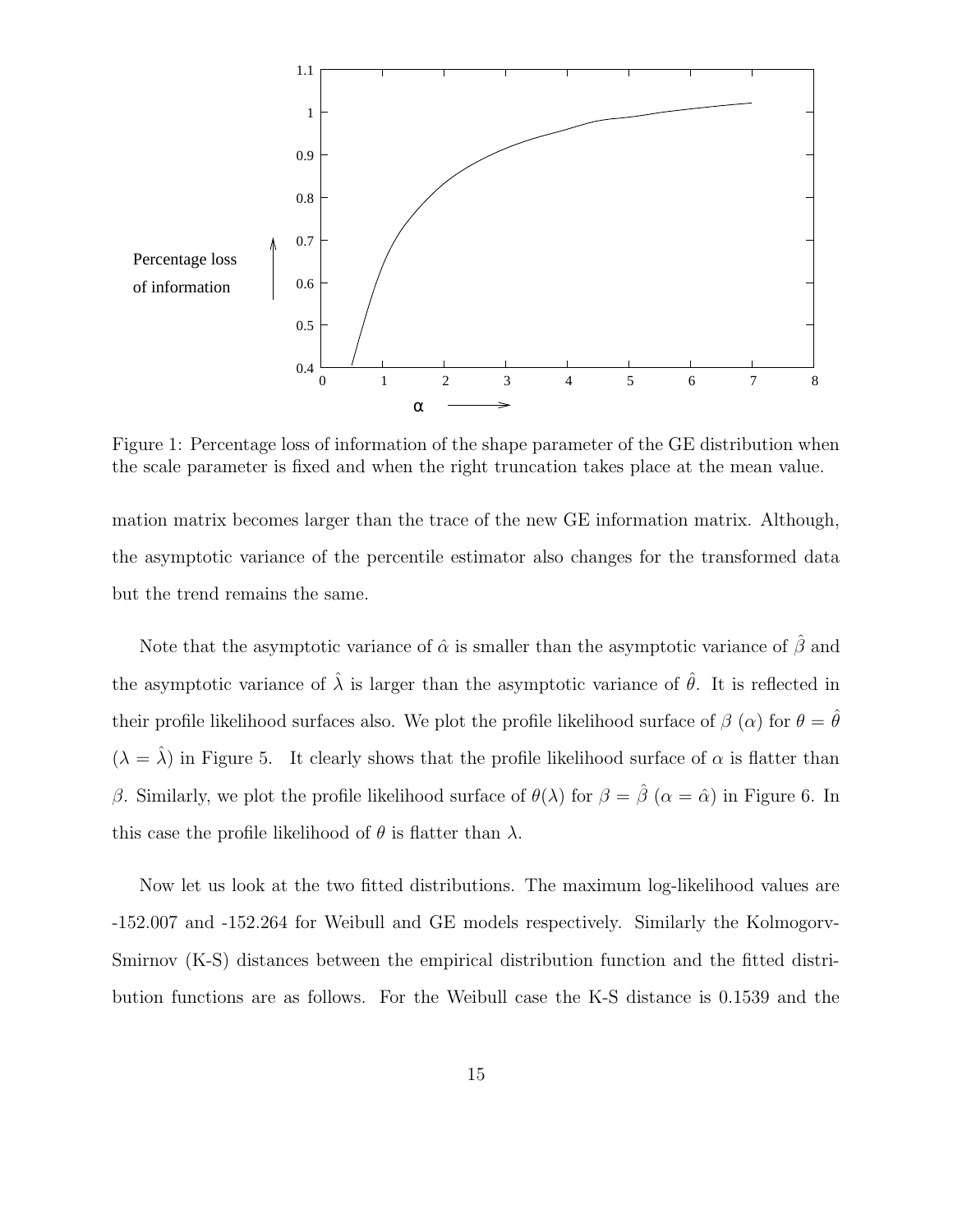

Figure 1: Percentage loss of information of the shape parameter of the GE distribution when the scale parameter is fixed and when the right truncation takes place at the mean value.

mation matrix becomes larger than the trace of the new GE information matrix. Although, the asymptotic variance of the percentile estimator also changes for the transformed data but the trend remains the same.

Note that the asymptotic variance of  $\hat{\alpha}$  is smaller than the asymptotic variance of  $\hat{\beta}$  and the asymptotic variance of  $\hat{\lambda}$  is larger than the asymptotic variance of  $\hat{\theta}$ . It is reflected in their profile likelihood surfaces also. We plot the profile likelihood surface of  $\beta(\alpha)$  for  $\theta = \hat{\theta}$  $(\lambda = \hat{\lambda})$  in Figure 5. It clearly shows that the profile likelihood surface of  $\alpha$  is flatter than β. Similarly, we plot the profile likelihood surface of  $\theta(\lambda)$  for  $\beta = \hat{\beta}$  ( $\alpha = \hat{\alpha}$ ) in Figure 6. In this case the profile likelihood of  $\theta$  is flatter than  $\lambda$ .

Now let us look at the two fitted distributions. The maximum log-likelihood values are -152.007 and -152.264 for Weibull and GE models respectively. Similarly the Kolmogorv-Smirnov (K-S) distances between the empirical distribution function and the fitted distribution functions are as follows. For the Weibull case the K-S distance is 0.1539 and the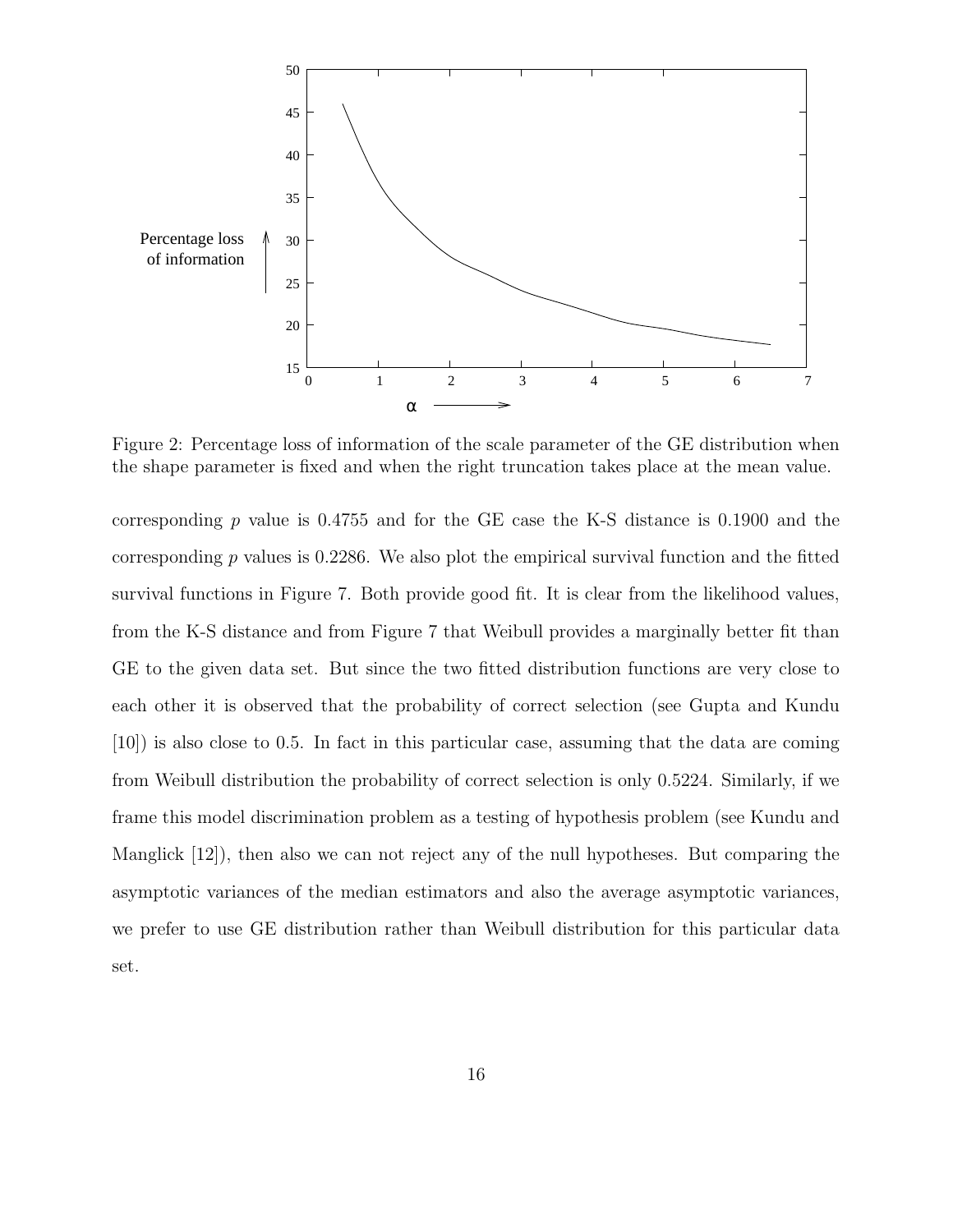

Figure 2: Percentage loss of information of the scale parameter of the GE distribution when the shape parameter is fixed and when the right truncation takes place at the mean value.

corresponding  $p$  value is 0.4755 and for the GE case the K-S distance is 0.1900 and the corresponding  $p$  values is 0.2286. We also plot the empirical survival function and the fitted survival functions in Figure 7. Both provide good fit. It is clear from the likelihood values, from the K-S distance and from Figure 7 that Weibull provides a marginally better fit than GE to the given data set. But since the two fitted distribution functions are very close to each other it is observed that the probability of correct selection (see Gupta and Kundu [10]) is also close to 0.5. In fact in this particular case, assuming that the data are coming from Weibull distribution the probability of correct selection is only 0.5224. Similarly, if we frame this model discrimination problem as a testing of hypothesis problem (see Kundu and Manglick [12]), then also we can not reject any of the null hypotheses. But comparing the asymptotic variances of the median estimators and also the average asymptotic variances, we prefer to use GE distribution rather than Weibull distribution for this particular data set.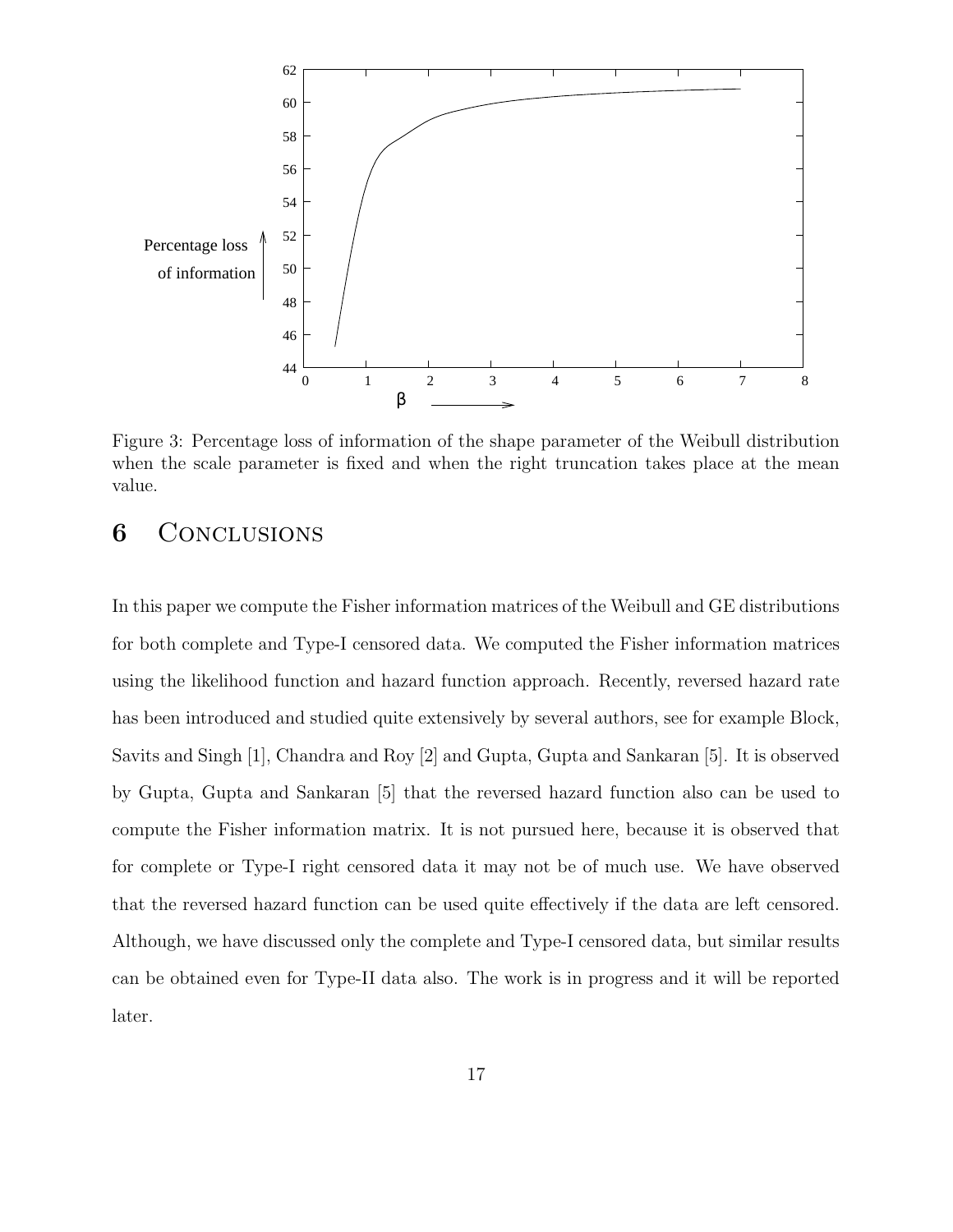

Figure 3: Percentage loss of information of the shape parameter of the Weibull distribution when the scale parameter is fixed and when the right truncation takes place at the mean value.

### 6 Conclusions

In this paper we compute the Fisher information matrices of the Weibull and GE distributions for both complete and Type-I censored data. We computed the Fisher information matrices using the likelihood function and hazard function approach. Recently, reversed hazard rate has been introduced and studied quite extensively by several authors, see for example Block, Savits and Singh [1], Chandra and Roy [2] and Gupta, Gupta and Sankaran [5]. It is observed by Gupta, Gupta and Sankaran [5] that the reversed hazard function also can be used to compute the Fisher information matrix. It is not pursued here, because it is observed that for complete or Type-I right censored data it may not be of much use. We have observed that the reversed hazard function can be used quite effectively if the data are left censored. Although, we have discussed only the complete and Type-I censored data, but similar results can be obtained even for Type-II data also. The work is in progress and it will be reported later.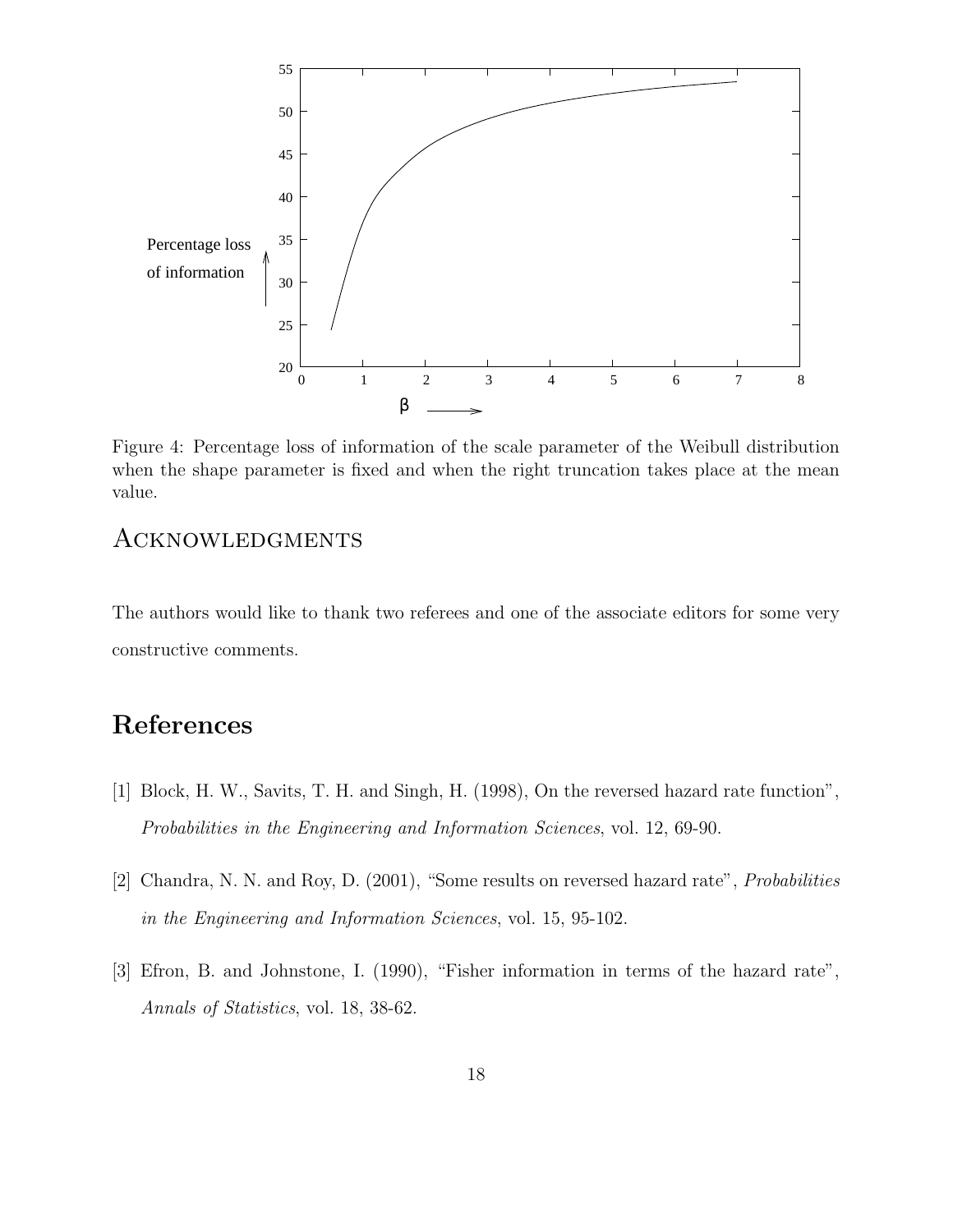

Figure 4: Percentage loss of information of the scale parameter of the Weibull distribution when the shape parameter is fixed and when the right truncation takes place at the mean value.

### Acknowledgments

The authors would like to thank two referees and one of the associate editors for some very constructive comments.

### References

- [1] Block, H. W., Savits, T. H. and Singh, H. (1998), On the reversed hazard rate function", Probabilities in the Engineering and Information Sciences, vol. 12, 69-90.
- [2] Chandra, N. N. and Roy, D. (2001), "Some results on reversed hazard rate", Probabilities in the Engineering and Information Sciences, vol. 15, 95-102.
- [3] Efron, B. and Johnstone, I. (1990), "Fisher information in terms of the hazard rate", Annals of Statistics, vol. 18, 38-62.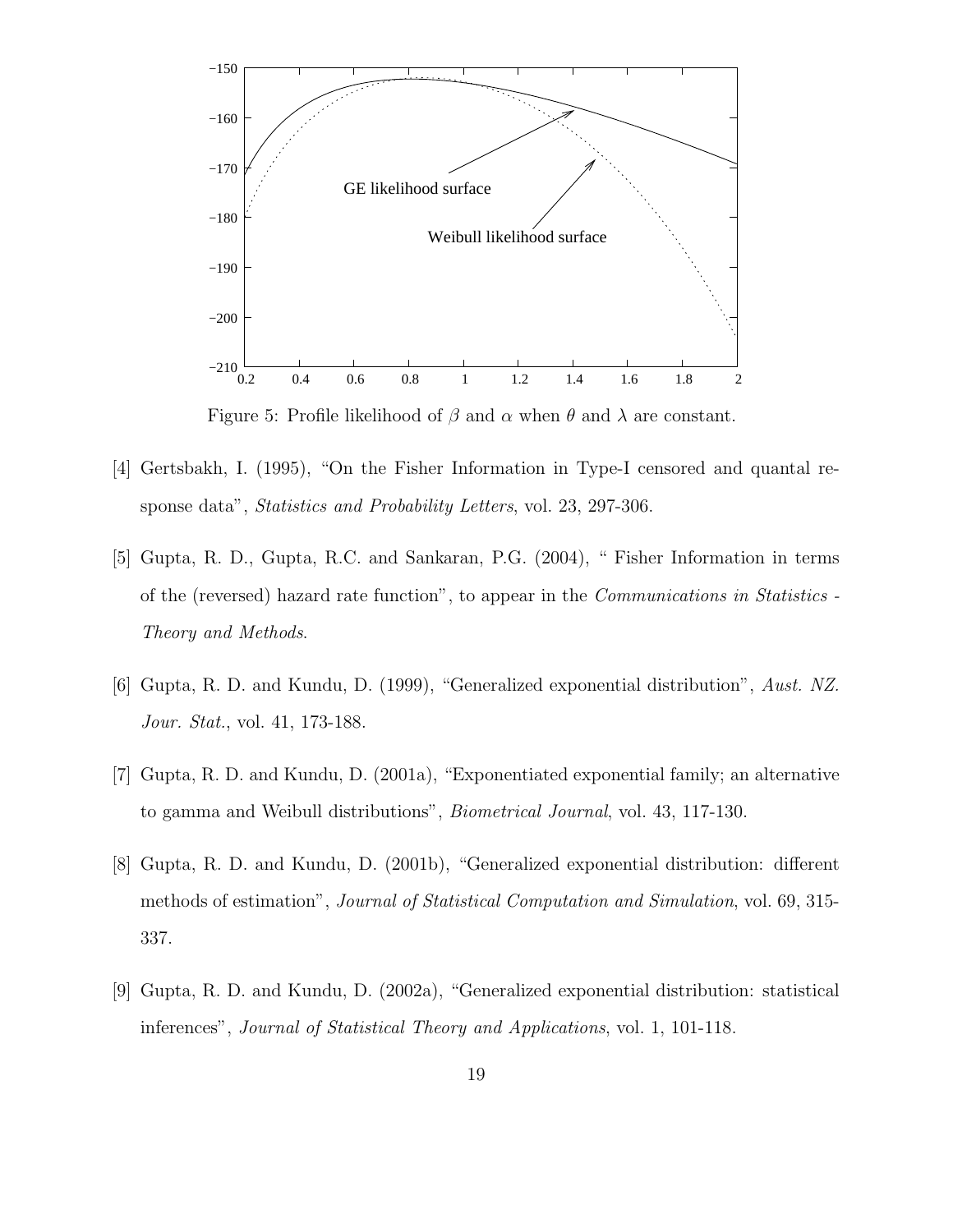

Figure 5: Profile likelihood of  $\beta$  and  $\alpha$  when  $\theta$  and  $\lambda$  are constant.

- [4] Gertsbakh, I. (1995), "On the Fisher Information in Type-I censored and quantal response data", *Statistics and Probability Letters*, vol. 23, 297-306.
- [5] Gupta, R. D., Gupta, R.C. and Sankaran, P.G. (2004), " Fisher Information in terms of the (reversed) hazard rate function", to appear in the Communications in Statistics - Theory and Methods.
- [6] Gupta, R. D. and Kundu, D. (1999), "Generalized exponential distribution", Aust. NZ. Jour. Stat., vol. 41, 173-188.
- [7] Gupta, R. D. and Kundu, D. (2001a), "Exponentiated exponential family; an alternative to gamma and Weibull distributions", Biometrical Journal, vol. 43, 117-130.
- [8] Gupta, R. D. and Kundu, D. (2001b), "Generalized exponential distribution: different methods of estimation", Journal of Statistical Computation and Simulation, vol. 69, 315- 337.
- [9] Gupta, R. D. and Kundu, D. (2002a), "Generalized exponential distribution: statistical inferences", Journal of Statistical Theory and Applications, vol. 1, 101-118.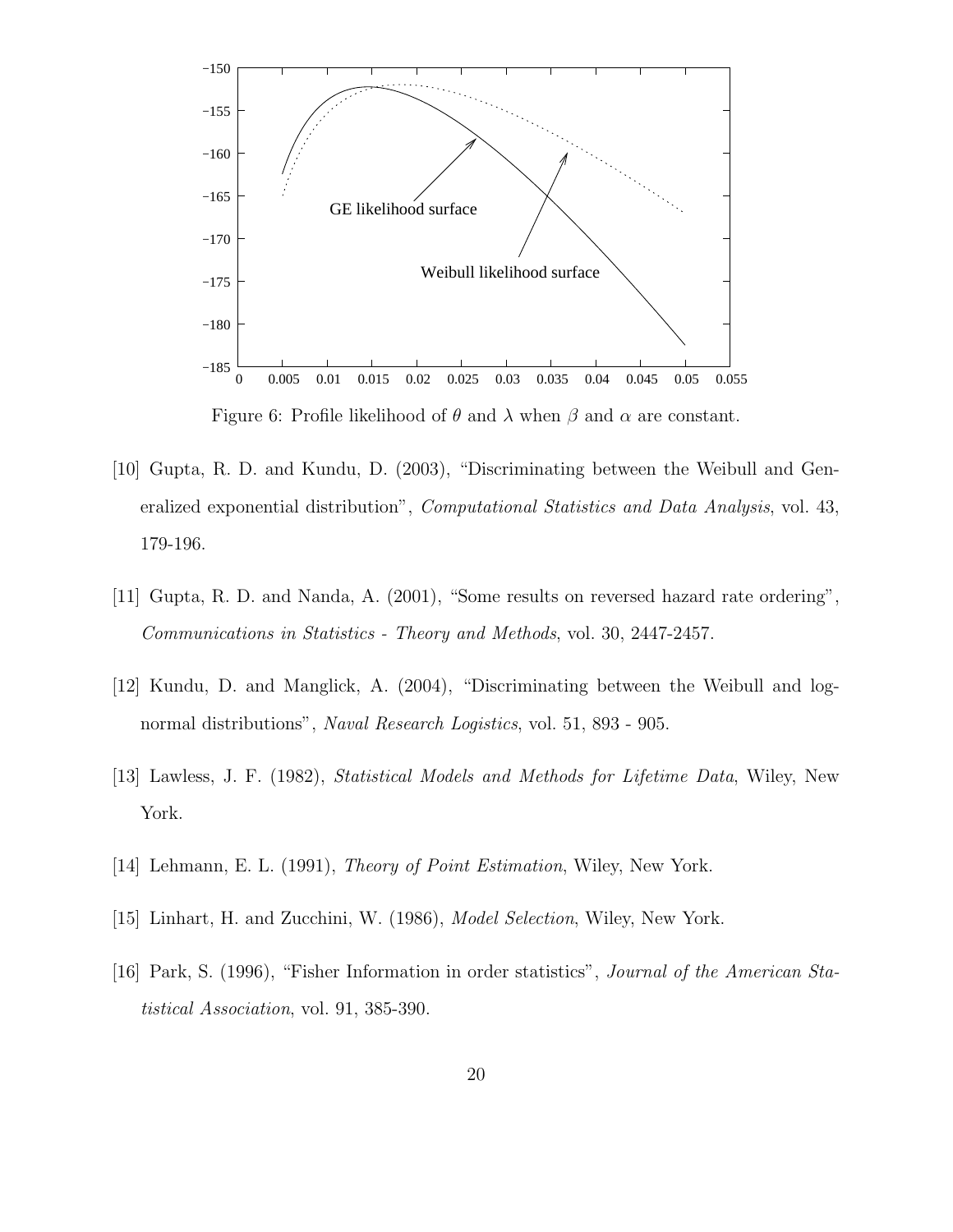

- [10] Gupta, R. D. and Kundu, D. (2003), "Discriminating between the Weibull and Generalized exponential distribution", *Computational Statistics and Data Analysis*, vol. 43, 179-196.
- [11] Gupta, R. D. and Nanda, A. (2001), "Some results on reversed hazard rate ordering", Communications in Statistics - Theory and Methods, vol. 30, 2447-2457.
- [12] Kundu, D. and Manglick, A. (2004), "Discriminating between the Weibull and lognormal distributions", Naval Research Logistics, vol. 51, 893 - 905.
- [13] Lawless, J. F. (1982), Statistical Models and Methods for Lifetime Data, Wiley, New York.
- [14] Lehmann, E. L. (1991), Theory of Point Estimation, Wiley, New York.
- [15] Linhart, H. and Zucchini, W. (1986), Model Selection, Wiley, New York.
- [16] Park, S. (1996), "Fisher Information in order statistics", Journal of the American Statistical Association, vol. 91, 385-390.